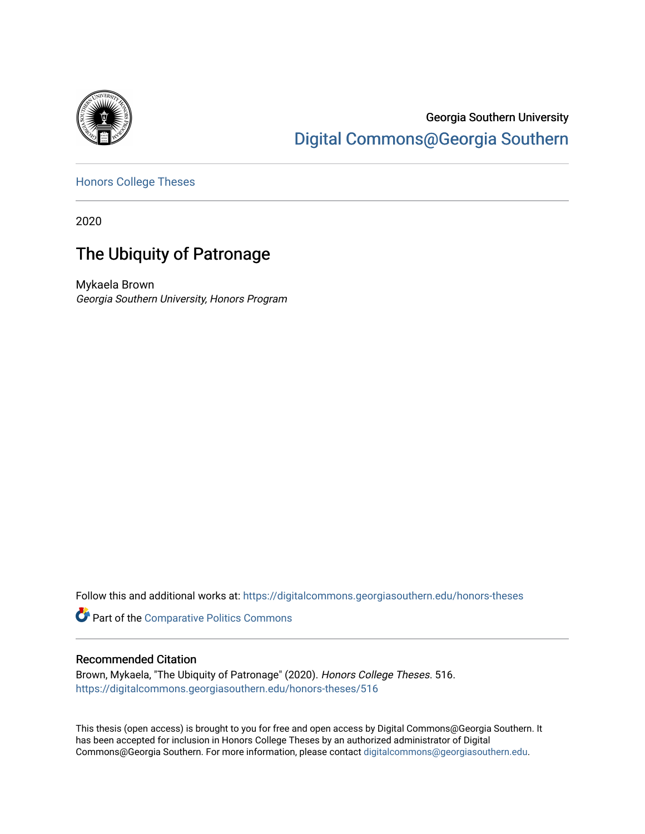

# Georgia Southern University [Digital Commons@Georgia Southern](https://digitalcommons.georgiasouthern.edu/)

[Honors College Theses](https://digitalcommons.georgiasouthern.edu/honors-theses) 

2020

# The Ubiquity of Patronage

Mykaela Brown Georgia Southern University, Honors Program

Follow this and additional works at: [https://digitalcommons.georgiasouthern.edu/honors-theses](https://digitalcommons.georgiasouthern.edu/honors-theses?utm_source=digitalcommons.georgiasouthern.edu%2Fhonors-theses%2F516&utm_medium=PDF&utm_campaign=PDFCoverPages)

Part of the [Comparative Politics Commons](http://network.bepress.com/hgg/discipline/388?utm_source=digitalcommons.georgiasouthern.edu%2Fhonors-theses%2F516&utm_medium=PDF&utm_campaign=PDFCoverPages) 

#### Recommended Citation

Brown, Mykaela, "The Ubiquity of Patronage" (2020). Honors College Theses. 516. [https://digitalcommons.georgiasouthern.edu/honors-theses/516](https://digitalcommons.georgiasouthern.edu/honors-theses/516?utm_source=digitalcommons.georgiasouthern.edu%2Fhonors-theses%2F516&utm_medium=PDF&utm_campaign=PDFCoverPages)

This thesis (open access) is brought to you for free and open access by Digital Commons@Georgia Southern. It has been accepted for inclusion in Honors College Theses by an authorized administrator of Digital Commons@Georgia Southern. For more information, please contact [digitalcommons@georgiasouthern.edu](mailto:digitalcommons@georgiasouthern.edu).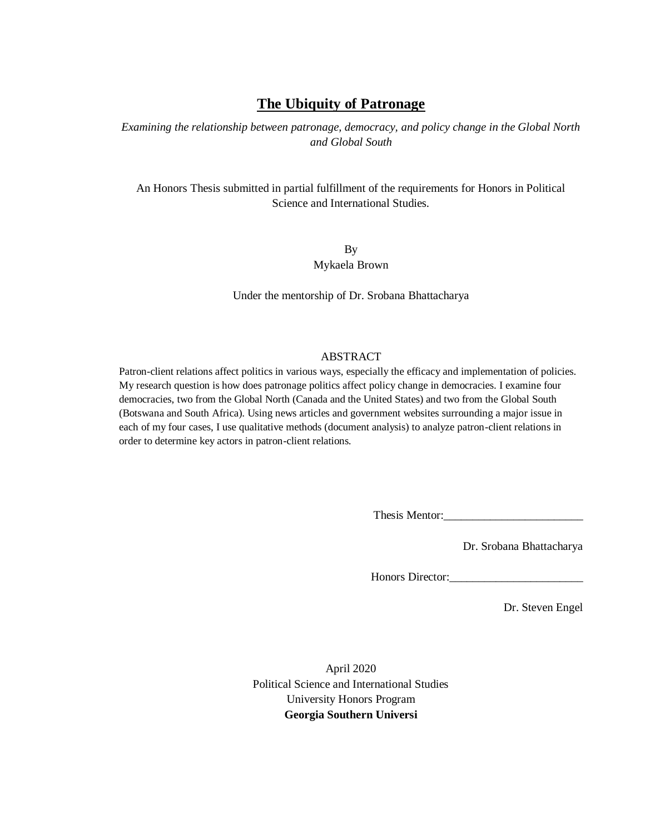### **The Ubiquity of Patronage**

*Examining the relationship between patronage, democracy, and policy change in the Global North and Global South*

An Honors Thesis submitted in partial fulfillment of the requirements for Honors in Political Science and International Studies.

> By Mykaela Brown

Under the mentorship of Dr. Srobana Bhattacharya

#### ABSTRACT

Patron-client relations affect politics in various ways, especially the efficacy and implementation of policies. My research question is how does patronage politics affect policy change in democracies. I examine four democracies, two from the Global North (Canada and the United States) and two from the Global South (Botswana and South Africa). Using news articles and government websites surrounding a major issue in each of my four cases, I use qualitative methods (document analysis) to analyze patron-client relations in order to determine key actors in patron-client relations.

Thesis Mentor:\_\_\_\_\_\_\_\_\_\_\_\_\_\_\_\_\_\_\_\_\_\_\_\_

Dr. Srobana Bhattacharya

Honors Director:\_\_\_\_\_\_\_\_\_\_\_\_\_\_\_\_\_\_\_\_\_\_\_

Dr. Steven Engel

April 2020 Political Science and International Studies University Honors Program **Georgia Southern Universi**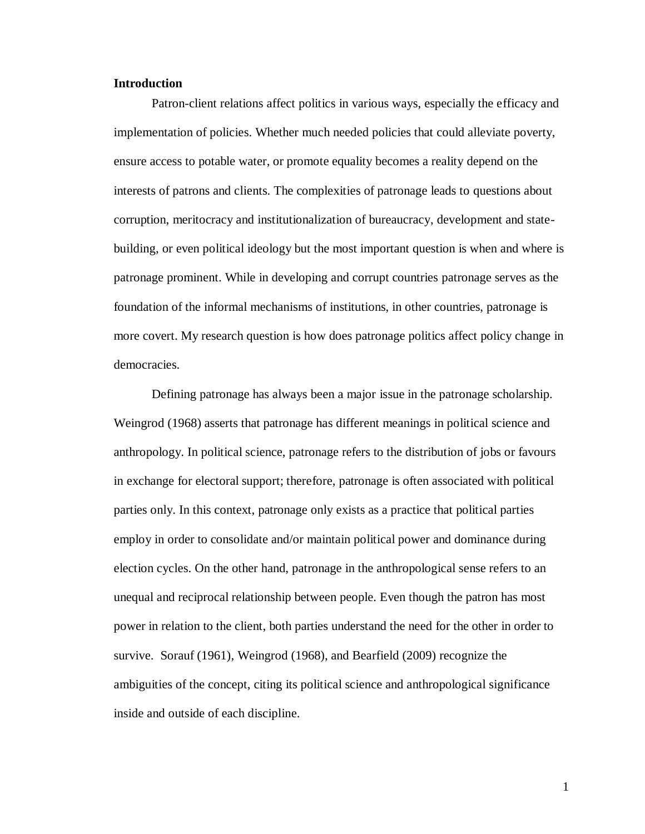#### **Introduction**

Patron-client relations affect politics in various ways, especially the efficacy and implementation of policies. Whether much needed policies that could alleviate poverty, ensure access to potable water, or promote equality becomes a reality depend on the interests of patrons and clients. The complexities of patronage leads to questions about corruption, meritocracy and institutionalization of bureaucracy, development and statebuilding, or even political ideology but the most important question is when and where is patronage prominent. While in developing and corrupt countries patronage serves as the foundation of the informal mechanisms of institutions, in other countries, patronage is more covert. My research question is how does patronage politics affect policy change in democracies.

Defining patronage has always been a major issue in the patronage scholarship. Weingrod (1968) asserts that patronage has different meanings in political science and anthropology. In political science, patronage refers to the distribution of jobs or favours in exchange for electoral support; therefore, patronage is often associated with political parties only. In this context, patronage only exists as a practice that political parties employ in order to consolidate and/or maintain political power and dominance during election cycles. On the other hand, patronage in the anthropological sense refers to an unequal and reciprocal relationship between people. Even though the patron has most power in relation to the client, both parties understand the need for the other in order to survive. Sorauf (1961), Weingrod (1968), and Bearfield (2009) recognize the ambiguities of the concept, citing its political science and anthropological significance inside and outside of each discipline.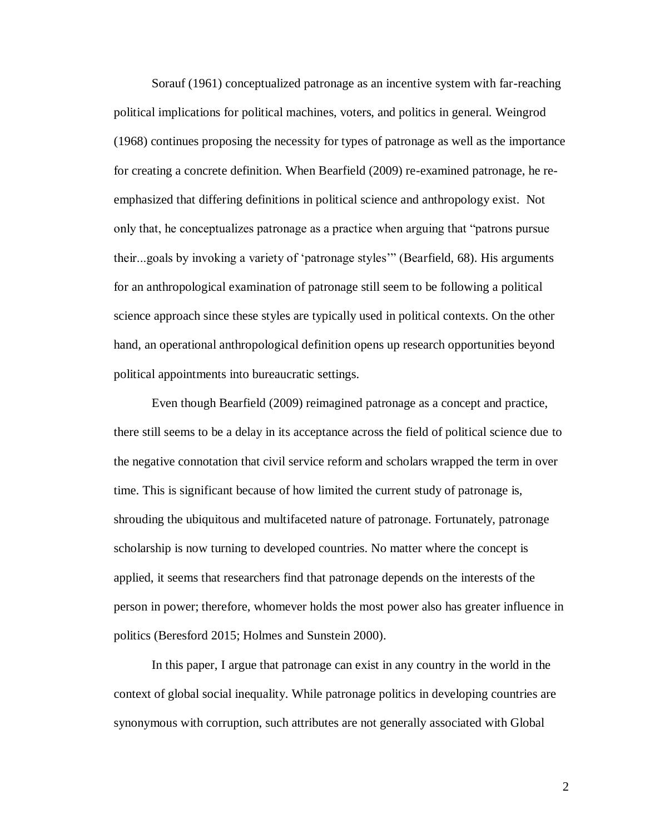Sorauf (1961) conceptualized patronage as an incentive system with far-reaching political implications for political machines, voters, and politics in general. Weingrod (1968) continues proposing the necessity for types of patronage as well as the importance for creating a concrete definition. When Bearfield (2009) re-examined patronage, he reemphasized that differing definitions in political science and anthropology exist. Not only that, he conceptualizes patronage as a practice when arguing that "patrons pursue their...goals by invoking a variety of 'patronage styles'" (Bearfield, 68). His arguments for an anthropological examination of patronage still seem to be following a political science approach since these styles are typically used in political contexts. On the other hand, an operational anthropological definition opens up research opportunities beyond political appointments into bureaucratic settings.

Even though Bearfield (2009) reimagined patronage as a concept and practice, there still seems to be a delay in its acceptance across the field of political science due to the negative connotation that civil service reform and scholars wrapped the term in over time. This is significant because of how limited the current study of patronage is, shrouding the ubiquitous and multifaceted nature of patronage. Fortunately, patronage scholarship is now turning to developed countries. No matter where the concept is applied, it seems that researchers find that patronage depends on the interests of the person in power; therefore, whomever holds the most power also has greater influence in politics (Beresford 2015; Holmes and Sunstein 2000).

In this paper, I argue that patronage can exist in any country in the world in the context of global social inequality. While patronage politics in developing countries are synonymous with corruption, such attributes are not generally associated with Global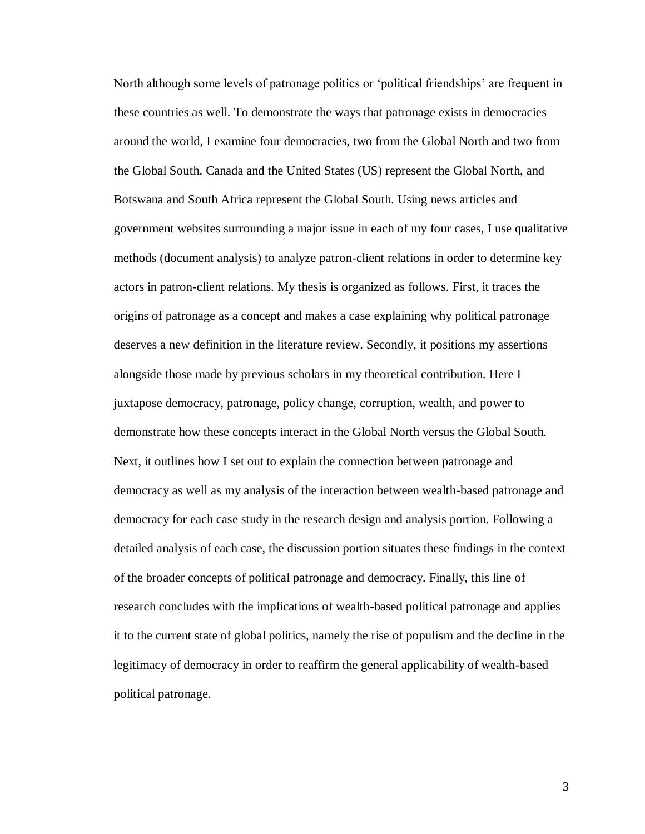North although some levels of patronage politics or 'political friendships' are frequent in these countries as well. To demonstrate the ways that patronage exists in democracies around the world, I examine four democracies, two from the Global North and two from the Global South. Canada and the United States (US) represent the Global North, and Botswana and South Africa represent the Global South. Using news articles and government websites surrounding a major issue in each of my four cases, I use qualitative methods (document analysis) to analyze patron-client relations in order to determine key actors in patron-client relations. My thesis is organized as follows. First, it traces the origins of patronage as a concept and makes a case explaining why political patronage deserves a new definition in the literature review. Secondly, it positions my assertions alongside those made by previous scholars in my theoretical contribution. Here I juxtapose democracy, patronage, policy change, corruption, wealth, and power to demonstrate how these concepts interact in the Global North versus the Global South. Next, it outlines how I set out to explain the connection between patronage and democracy as well as my analysis of the interaction between wealth-based patronage and democracy for each case study in the research design and analysis portion. Following a detailed analysis of each case, the discussion portion situates these findings in the context of the broader concepts of political patronage and democracy. Finally, this line of research concludes with the implications of wealth-based political patronage and applies it to the current state of global politics, namely the rise of populism and the decline in the legitimacy of democracy in order to reaffirm the general applicability of wealth-based political patronage.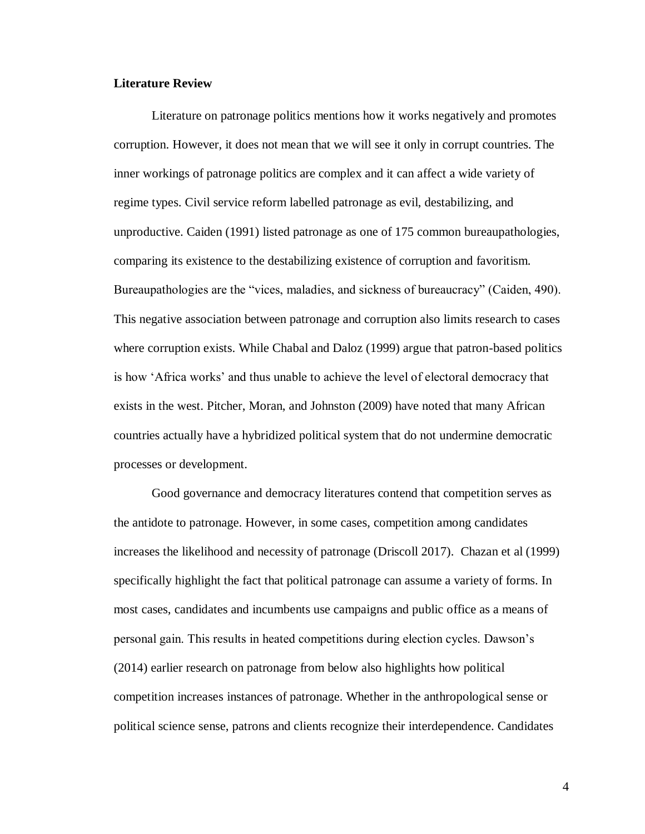#### **Literature Review**

Literature on patronage politics mentions how it works negatively and promotes corruption. However, it does not mean that we will see it only in corrupt countries. The inner workings of patronage politics are complex and it can affect a wide variety of regime types. Civil service reform labelled patronage as evil, destabilizing, and unproductive. Caiden (1991) listed patronage as one of 175 common bureaupathologies, comparing its existence to the destabilizing existence of corruption and favoritism. Bureaupathologies are the "vices, maladies, and sickness of bureaucracy" (Caiden, 490). This negative association between patronage and corruption also limits research to cases where corruption exists. While Chabal and Daloz (1999) argue that patron-based politics is how 'Africa works' and thus unable to achieve the level of electoral democracy that exists in the west. Pitcher, Moran, and Johnston (2009) have noted that many African countries actually have a hybridized political system that do not undermine democratic processes or development.

Good governance and democracy literatures contend that competition serves as the antidote to patronage. However, in some cases, competition among candidates increases the likelihood and necessity of patronage (Driscoll 2017). Chazan et al (1999) specifically highlight the fact that political patronage can assume a variety of forms. In most cases, candidates and incumbents use campaigns and public office as a means of personal gain. This results in heated competitions during election cycles. Dawson's (2014) earlier research on patronage from below also highlights how political competition increases instances of patronage. Whether in the anthropological sense or political science sense, patrons and clients recognize their interdependence. Candidates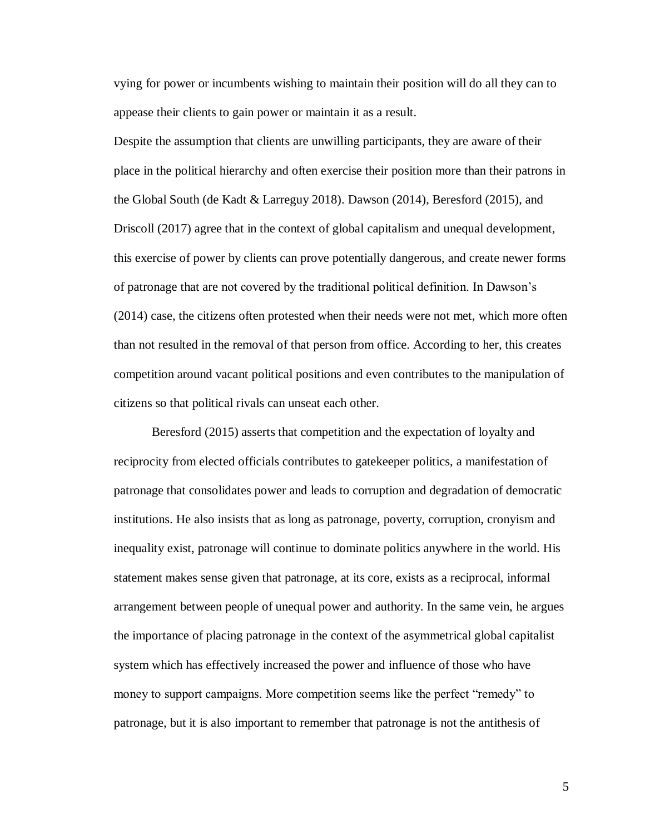vying for power or incumbents wishing to maintain their position will do all they can to appease their clients to gain power or maintain it as a result.

Despite the assumption that clients are unwilling participants, they are aware of their place in the political hierarchy and often exercise their position more than their patrons in the Global South (de Kadt & Larreguy 2018). Dawson (2014), Beresford (2015), and Driscoll (2017) agree that in the context of global capitalism and unequal development, this exercise of power by clients can prove potentially dangerous, and create newer forms of patronage that are not covered by the traditional political definition. In Dawson's (2014) case, the citizens often protested when their needs were not met, which more often than not resulted in the removal of that person from office. According to her, this creates competition around vacant political positions and even contributes to the manipulation of citizens so that political rivals can unseat each other.

Beresford (2015) asserts that competition and the expectation of loyalty and reciprocity from elected officials contributes to gatekeeper politics, a manifestation of patronage that consolidates power and leads to corruption and degradation of democratic institutions. He also insists that as long as patronage, poverty, corruption, cronyism and inequality exist, patronage will continue to dominate politics anywhere in the world. His statement makes sense given that patronage, at its core, exists as a reciprocal, informal arrangement between people of unequal power and authority. In the same vein, he argues the importance of placing patronage in the context of the asymmetrical global capitalist system which has effectively increased the power and influence of those who have money to support campaigns. More competition seems like the perfect "remedy" to patronage, but it is also important to remember that patronage is not the antithesis of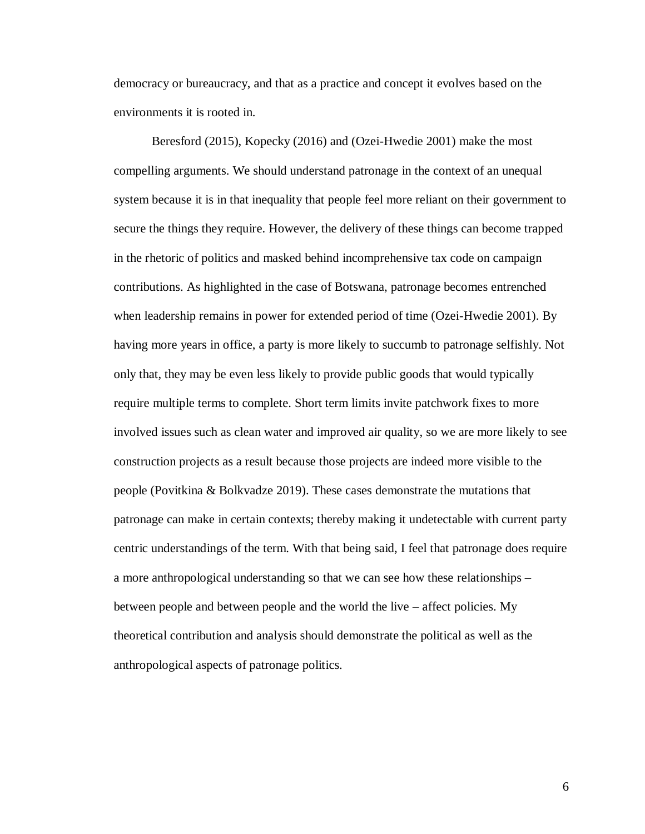democracy or bureaucracy, and that as a practice and concept it evolves based on the environments it is rooted in.

Beresford (2015), Kopecky (2016) and (Ozei-Hwedie 2001) make the most compelling arguments. We should understand patronage in the context of an unequal system because it is in that inequality that people feel more reliant on their government to secure the things they require. However, the delivery of these things can become trapped in the rhetoric of politics and masked behind incomprehensive tax code on campaign contributions. As highlighted in the case of Botswana, patronage becomes entrenched when leadership remains in power for extended period of time (Ozei-Hwedie 2001). By having more years in office, a party is more likely to succumb to patronage selfishly. Not only that, they may be even less likely to provide public goods that would typically require multiple terms to complete. Short term limits invite patchwork fixes to more involved issues such as clean water and improved air quality, so we are more likely to see construction projects as a result because those projects are indeed more visible to the people (Povitkina & Bolkvadze 2019). These cases demonstrate the mutations that patronage can make in certain contexts; thereby making it undetectable with current party centric understandings of the term. With that being said, I feel that patronage does require a more anthropological understanding so that we can see how these relationships – between people and between people and the world the live – affect policies. My theoretical contribution and analysis should demonstrate the political as well as the anthropological aspects of patronage politics.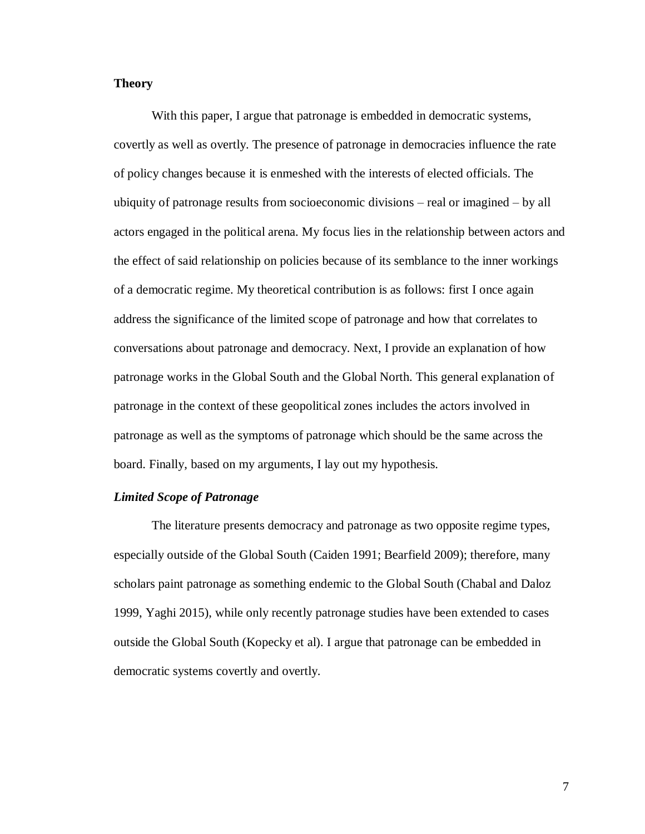#### **Theory**

With this paper, I argue that patronage is embedded in democratic systems, covertly as well as overtly. The presence of patronage in democracies influence the rate of policy changes because it is enmeshed with the interests of elected officials. The ubiquity of patronage results from socioeconomic divisions – real or imagined – by all actors engaged in the political arena. My focus lies in the relationship between actors and the effect of said relationship on policies because of its semblance to the inner workings of a democratic regime. My theoretical contribution is as follows: first I once again address the significance of the limited scope of patronage and how that correlates to conversations about patronage and democracy. Next, I provide an explanation of how patronage works in the Global South and the Global North. This general explanation of patronage in the context of these geopolitical zones includes the actors involved in patronage as well as the symptoms of patronage which should be the same across the board. Finally, based on my arguments, I lay out my hypothesis.

#### *Limited Scope of Patronage*

The literature presents democracy and patronage as two opposite regime types, especially outside of the Global South (Caiden 1991; Bearfield 2009); therefore, many scholars paint patronage as something endemic to the Global South (Chabal and Daloz 1999, Yaghi 2015), while only recently patronage studies have been extended to cases outside the Global South (Kopecky et al). I argue that patronage can be embedded in democratic systems covertly and overtly.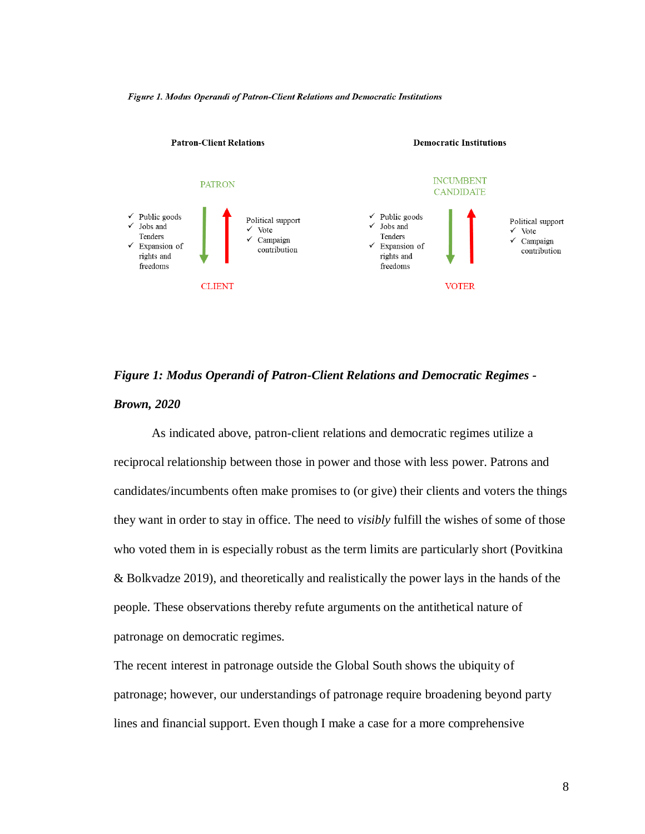



# *Figure 1: Modus Operandi of Patron-Client Relations and Democratic Regimes - Brown, 2020*

As indicated above, patron-client relations and democratic regimes utilize a reciprocal relationship between those in power and those with less power. Patrons and candidates/incumbents often make promises to (or give) their clients and voters the things they want in order to stay in office. The need to *visibly* fulfill the wishes of some of those who voted them in is especially robust as the term limits are particularly short (Povitkina & Bolkvadze 2019), and theoretically and realistically the power lays in the hands of the people. These observations thereby refute arguments on the antithetical nature of patronage on democratic regimes.

The recent interest in patronage outside the Global South shows the ubiquity of patronage; however, our understandings of patronage require broadening beyond party lines and financial support. Even though I make a case for a more comprehensive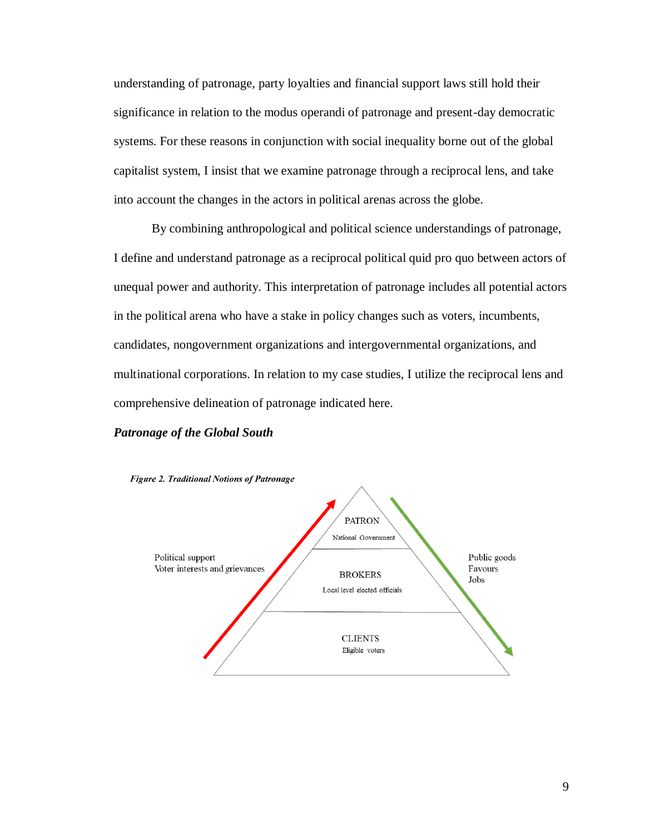understanding of patronage, party loyalties and financial support laws still hold their significance in relation to the modus operandi of patronage and present-day democratic systems. For these reasons in conjunction with social inequality borne out of the global capitalist system, I insist that we examine patronage through a reciprocal lens, and take into account the changes in the actors in political arenas across the globe.

By combining anthropological and political science understandings of patronage, I define and understand patronage as a reciprocal political quid pro quo between actors of unequal power and authority. This interpretation of patronage includes all potential actors in the political arena who have a stake in policy changes such as voters, incumbents, candidates, nongovernment organizations and intergovernmental organizations, and multinational corporations. In relation to my case studies, I utilize the reciprocal lens and comprehensive delineation of patronage indicated here.

#### *Patronage of the Global South*



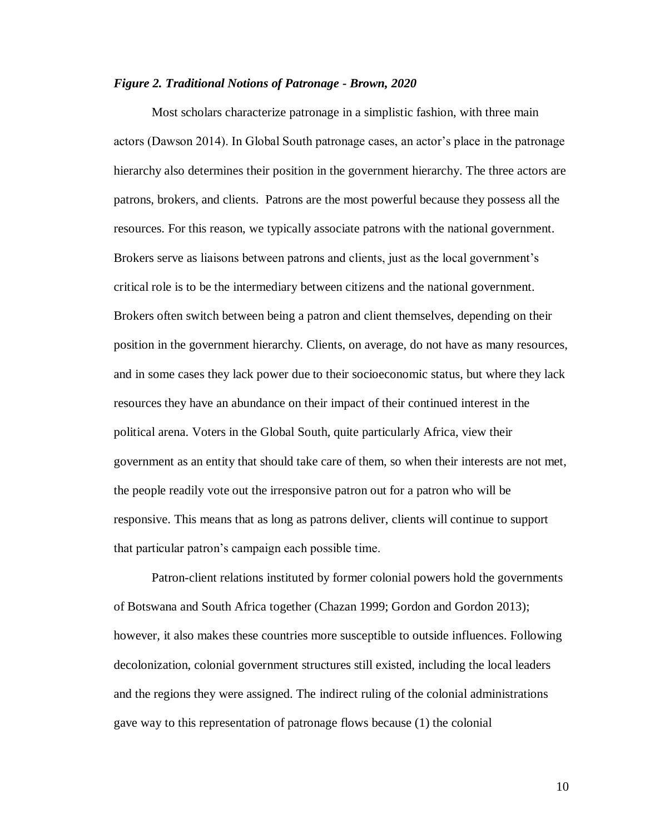#### *Figure 2. Traditional Notions of Patronage - Brown, 2020*

Most scholars characterize patronage in a simplistic fashion, with three main actors (Dawson 2014). In Global South patronage cases, an actor's place in the patronage hierarchy also determines their position in the government hierarchy. The three actors are patrons, brokers, and clients. Patrons are the most powerful because they possess all the resources. For this reason, we typically associate patrons with the national government. Brokers serve as liaisons between patrons and clients, just as the local government's critical role is to be the intermediary between citizens and the national government. Brokers often switch between being a patron and client themselves, depending on their position in the government hierarchy. Clients, on average, do not have as many resources, and in some cases they lack power due to their socioeconomic status, but where they lack resources they have an abundance on their impact of their continued interest in the political arena. Voters in the Global South, quite particularly Africa, view their government as an entity that should take care of them, so when their interests are not met, the people readily vote out the irresponsive patron out for a patron who will be responsive. This means that as long as patrons deliver, clients will continue to support that particular patron's campaign each possible time.

Patron-client relations instituted by former colonial powers hold the governments of Botswana and South Africa together (Chazan 1999; Gordon and Gordon 2013); however, it also makes these countries more susceptible to outside influences. Following decolonization, colonial government structures still existed, including the local leaders and the regions they were assigned. The indirect ruling of the colonial administrations gave way to this representation of patronage flows because (1) the colonial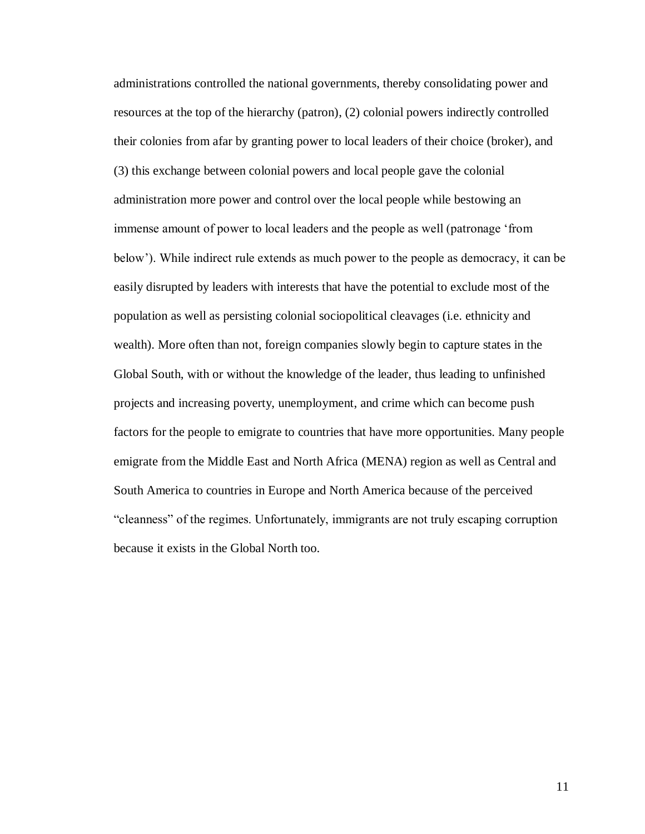administrations controlled the national governments, thereby consolidating power and resources at the top of the hierarchy (patron), (2) colonial powers indirectly controlled their colonies from afar by granting power to local leaders of their choice (broker), and (3) this exchange between colonial powers and local people gave the colonial administration more power and control over the local people while bestowing an immense amount of power to local leaders and the people as well (patronage 'from below'). While indirect rule extends as much power to the people as democracy, it can be easily disrupted by leaders with interests that have the potential to exclude most of the population as well as persisting colonial sociopolitical cleavages (i.e. ethnicity and wealth). More often than not, foreign companies slowly begin to capture states in the Global South, with or without the knowledge of the leader, thus leading to unfinished projects and increasing poverty, unemployment, and crime which can become push factors for the people to emigrate to countries that have more opportunities. Many people emigrate from the Middle East and North Africa (MENA) region as well as Central and South America to countries in Europe and North America because of the perceived "cleanness" of the regimes. Unfortunately, immigrants are not truly escaping corruption because it exists in the Global North too.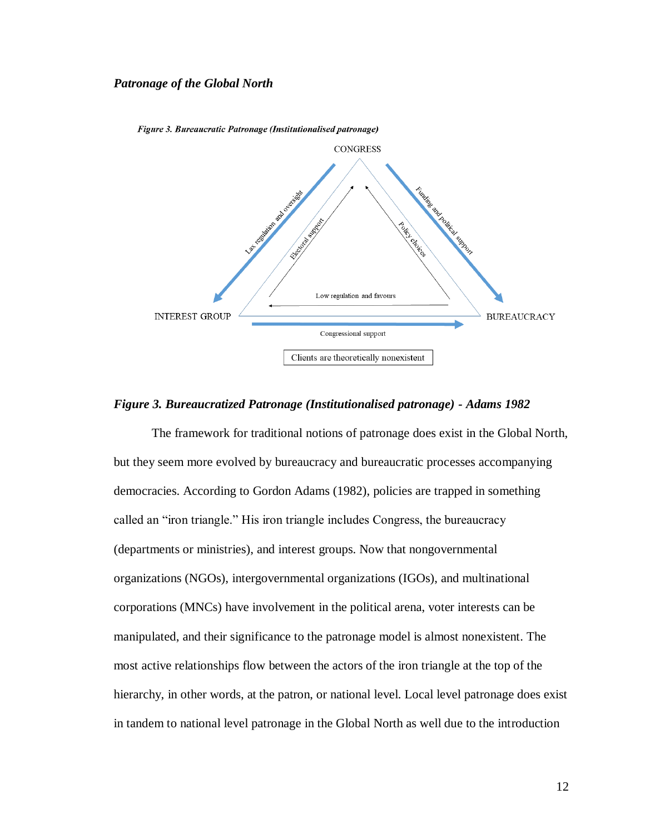

*Figure 3. Bureaucratized Patronage (Institutionalised patronage) - Adams 1982*

The framework for traditional notions of patronage does exist in the Global North, but they seem more evolved by bureaucracy and bureaucratic processes accompanying democracies. According to Gordon Adams (1982), policies are trapped in something called an "iron triangle." His iron triangle includes Congress, the bureaucracy (departments or ministries), and interest groups. Now that nongovernmental organizations (NGOs), intergovernmental organizations (IGOs), and multinational corporations (MNCs) have involvement in the political arena, voter interests can be manipulated, and their significance to the patronage model is almost nonexistent. The most active relationships flow between the actors of the iron triangle at the top of the hierarchy, in other words, at the patron, or national level. Local level patronage does exist in tandem to national level patronage in the Global North as well due to the introduction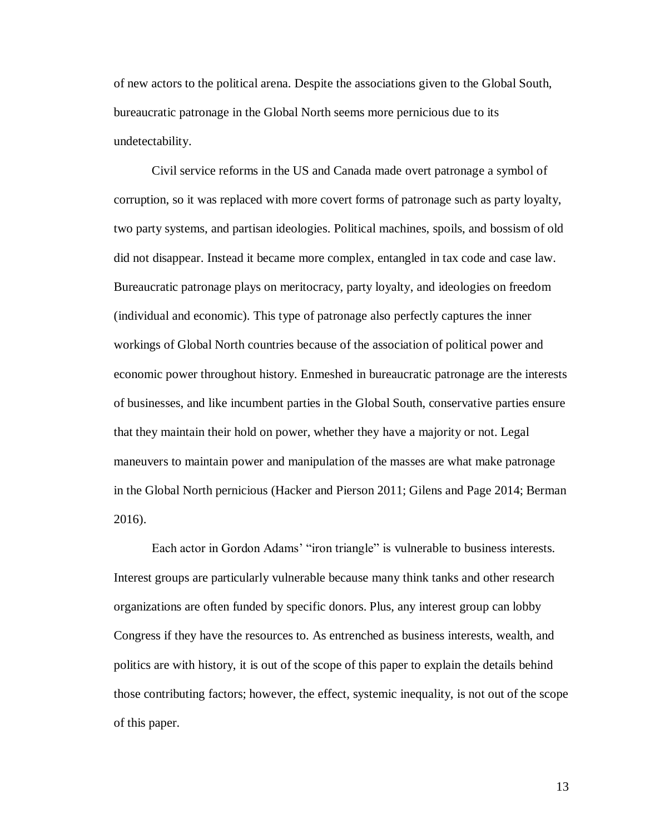of new actors to the political arena. Despite the associations given to the Global South, bureaucratic patronage in the Global North seems more pernicious due to its undetectability.

Civil service reforms in the US and Canada made overt patronage a symbol of corruption, so it was replaced with more covert forms of patronage such as party loyalty, two party systems, and partisan ideologies. Political machines, spoils, and bossism of old did not disappear. Instead it became more complex, entangled in tax code and case law. Bureaucratic patronage plays on meritocracy, party loyalty, and ideologies on freedom (individual and economic). This type of patronage also perfectly captures the inner workings of Global North countries because of the association of political power and economic power throughout history. Enmeshed in bureaucratic patronage are the interests of businesses, and like incumbent parties in the Global South, conservative parties ensure that they maintain their hold on power, whether they have a majority or not. Legal maneuvers to maintain power and manipulation of the masses are what make patronage in the Global North pernicious (Hacker and Pierson 2011; Gilens and Page 2014; Berman 2016).

Each actor in Gordon Adams' "iron triangle" is vulnerable to business interests. Interest groups are particularly vulnerable because many think tanks and other research organizations are often funded by specific donors. Plus, any interest group can lobby Congress if they have the resources to. As entrenched as business interests, wealth, and politics are with history, it is out of the scope of this paper to explain the details behind those contributing factors; however, the effect, systemic inequality, is not out of the scope of this paper.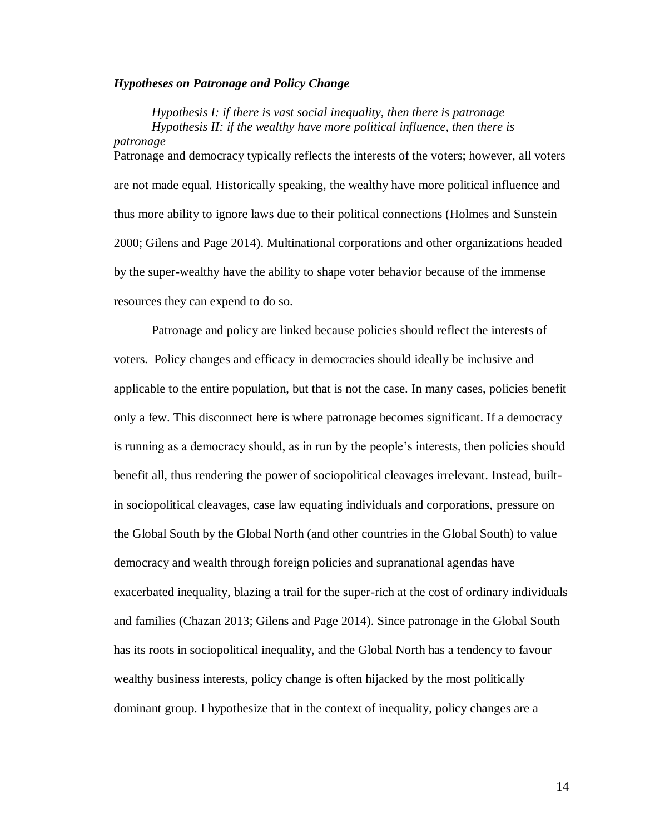#### *Hypotheses on Patronage and Policy Change*

*Hypothesis I: if there is vast social inequality, then there is patronage Hypothesis II: if the wealthy have more political influence, then there is patronage* Patronage and democracy typically reflects the interests of the voters; however, all voters are not made equal. Historically speaking, the wealthy have more political influence and thus more ability to ignore laws due to their political connections (Holmes and Sunstein 2000; Gilens and Page 2014). Multinational corporations and other organizations headed by the super-wealthy have the ability to shape voter behavior because of the immense resources they can expend to do so.

Patronage and policy are linked because policies should reflect the interests of voters. Policy changes and efficacy in democracies should ideally be inclusive and applicable to the entire population, but that is not the case. In many cases, policies benefit only a few. This disconnect here is where patronage becomes significant. If a democracy is running as a democracy should, as in run by the people's interests, then policies should benefit all, thus rendering the power of sociopolitical cleavages irrelevant. Instead, builtin sociopolitical cleavages, case law equating individuals and corporations, pressure on the Global South by the Global North (and other countries in the Global South) to value democracy and wealth through foreign policies and supranational agendas have exacerbated inequality, blazing a trail for the super-rich at the cost of ordinary individuals and families (Chazan 2013; Gilens and Page 2014). Since patronage in the Global South has its roots in sociopolitical inequality, and the Global North has a tendency to favour wealthy business interests, policy change is often hijacked by the most politically dominant group. I hypothesize that in the context of inequality, policy changes are a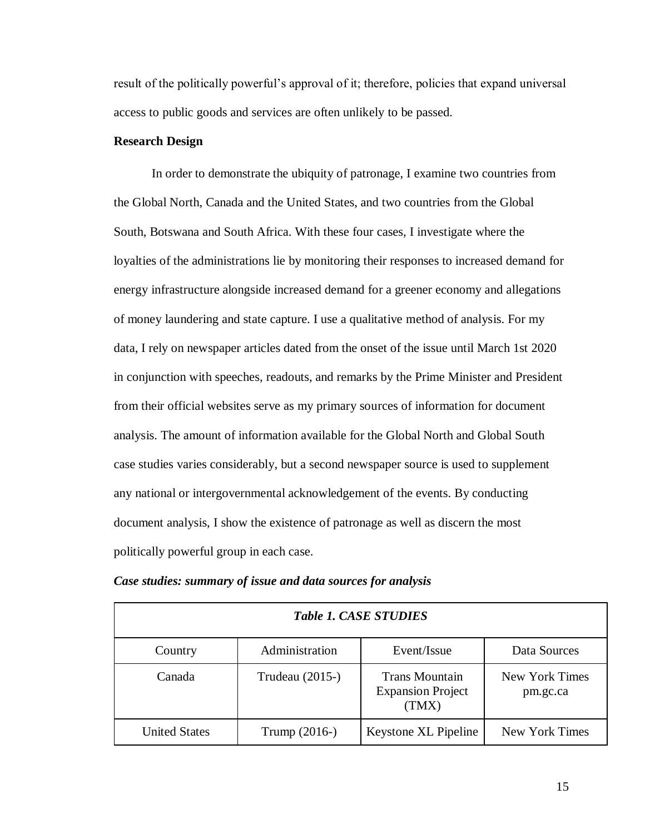result of the politically powerful's approval of it; therefore, policies that expand universal access to public goods and services are often unlikely to be passed.

#### **Research Design**

In order to demonstrate the ubiquity of patronage, I examine two countries from the Global North, Canada and the United States, and two countries from the Global South, Botswana and South Africa. With these four cases, I investigate where the loyalties of the administrations lie by monitoring their responses to increased demand for energy infrastructure alongside increased demand for a greener economy and allegations of money laundering and state capture. I use a qualitative method of analysis. For my data, I rely on newspaper articles dated from the onset of the issue until March 1st 2020 in conjunction with speeches, readouts, and remarks by the Prime Minister and President from their official websites serve as my primary sources of information for document analysis. The amount of information available for the Global North and Global South case studies varies considerably, but a second newspaper source is used to supplement any national or intergovernmental acknowledgement of the events. By conducting document analysis, I show the existence of patronage as well as discern the most politically powerful group in each case.

| <b>Table 1. CASE STUDIES</b> |                 |                                                            |                            |  |  |
|------------------------------|-----------------|------------------------------------------------------------|----------------------------|--|--|
| Country                      | Administration  | Event/Issue                                                | Data Sources               |  |  |
| Canada                       | Trudeau (2015-) | <b>Trans Mountain</b><br><b>Expansion Project</b><br>(TMX) | New York Times<br>pm.gc.ca |  |  |
| <b>United States</b>         | Trump $(2016-)$ | Keystone XL Pipeline                                       | New York Times             |  |  |

*Case studies: summary of issue and data sources for analysis*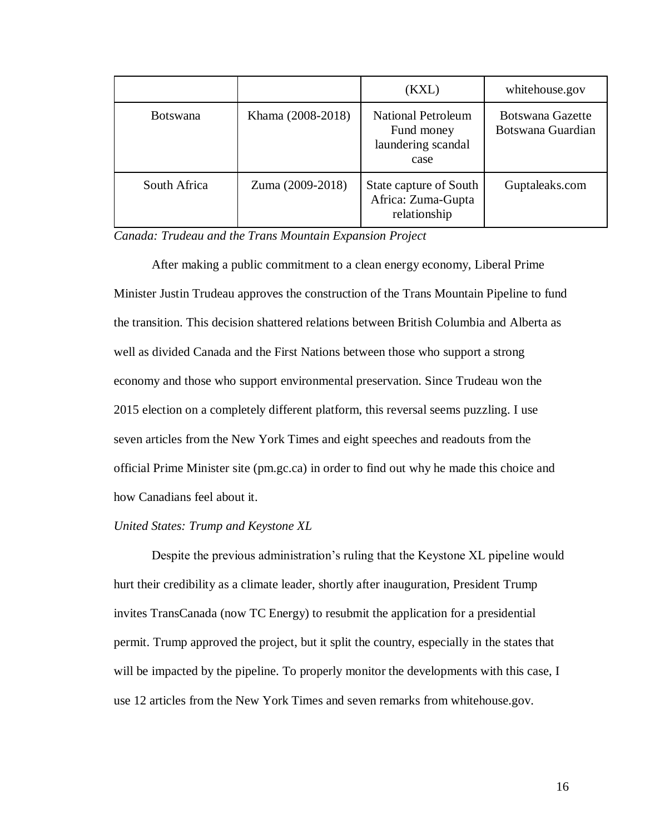|                 |                   | (KXL)                                                                 | whitehouse.gov                        |
|-----------------|-------------------|-----------------------------------------------------------------------|---------------------------------------|
| <b>Botswana</b> | Khama (2008-2018) | <b>National Petroleum</b><br>Fund money<br>laundering scandal<br>case | Botswana Gazette<br>Botswana Guardian |
| South Africa    | Zuma (2009-2018)  | State capture of South<br>Africa: Zuma-Gupta<br>relationship          | Guptaleaks.com                        |

*Canada: Trudeau and the Trans Mountain Expansion Project*

After making a public commitment to a clean energy economy, Liberal Prime Minister Justin Trudeau approves the construction of the Trans Mountain Pipeline to fund the transition. This decision shattered relations between British Columbia and Alberta as well as divided Canada and the First Nations between those who support a strong economy and those who support environmental preservation. Since Trudeau won the 2015 election on a completely different platform, this reversal seems puzzling. I use seven articles from the New York Times and eight speeches and readouts from the official Prime Minister site (pm.gc.ca) in order to find out why he made this choice and how Canadians feel about it.

#### *United States: Trump and Keystone XL*

Despite the previous administration's ruling that the Keystone XL pipeline would hurt their credibility as a climate leader, shortly after inauguration, President Trump invites TransCanada (now TC Energy) to resubmit the application for a presidential permit. Trump approved the project, but it split the country, especially in the states that will be impacted by the pipeline. To properly monitor the developments with this case, I use 12 articles from the New York Times and seven remarks from whitehouse.gov.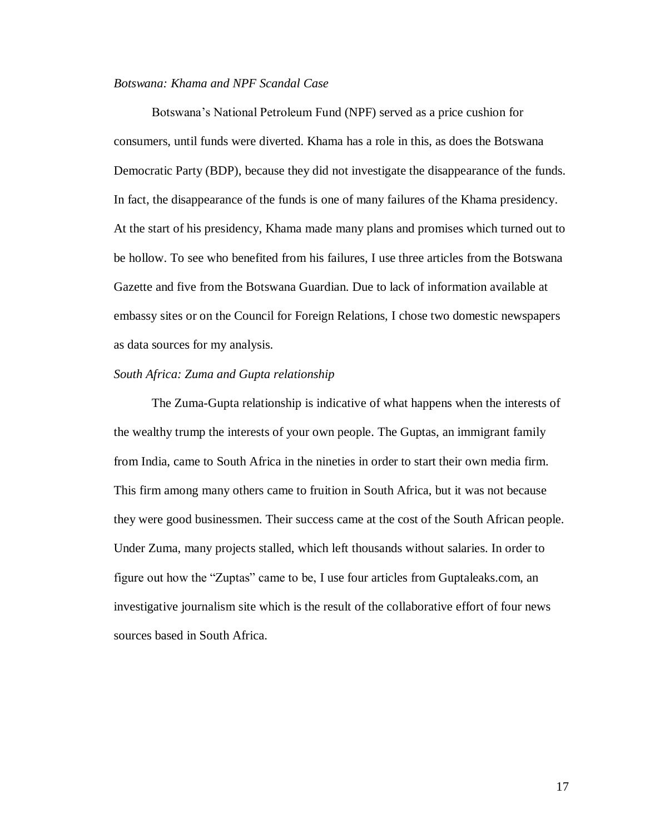#### *Botswana: Khama and NPF Scandal Case*

Botswana's National Petroleum Fund (NPF) served as a price cushion for consumers, until funds were diverted. Khama has a role in this, as does the Botswana Democratic Party (BDP), because they did not investigate the disappearance of the funds. In fact, the disappearance of the funds is one of many failures of the Khama presidency. At the start of his presidency, Khama made many plans and promises which turned out to be hollow. To see who benefited from his failures, I use three articles from the Botswana Gazette and five from the Botswana Guardian. Due to lack of information available at embassy sites or on the Council for Foreign Relations, I chose two domestic newspapers as data sources for my analysis.

#### *South Africa: Zuma and Gupta relationship*

The Zuma-Gupta relationship is indicative of what happens when the interests of the wealthy trump the interests of your own people. The Guptas, an immigrant family from India, came to South Africa in the nineties in order to start their own media firm. This firm among many others came to fruition in South Africa, but it was not because they were good businessmen. Their success came at the cost of the South African people. Under Zuma, many projects stalled, which left thousands without salaries. In order to figure out how the "Zuptas" came to be, I use four articles from Guptaleaks.com, an investigative journalism site which is the result of the collaborative effort of four news sources based in South Africa.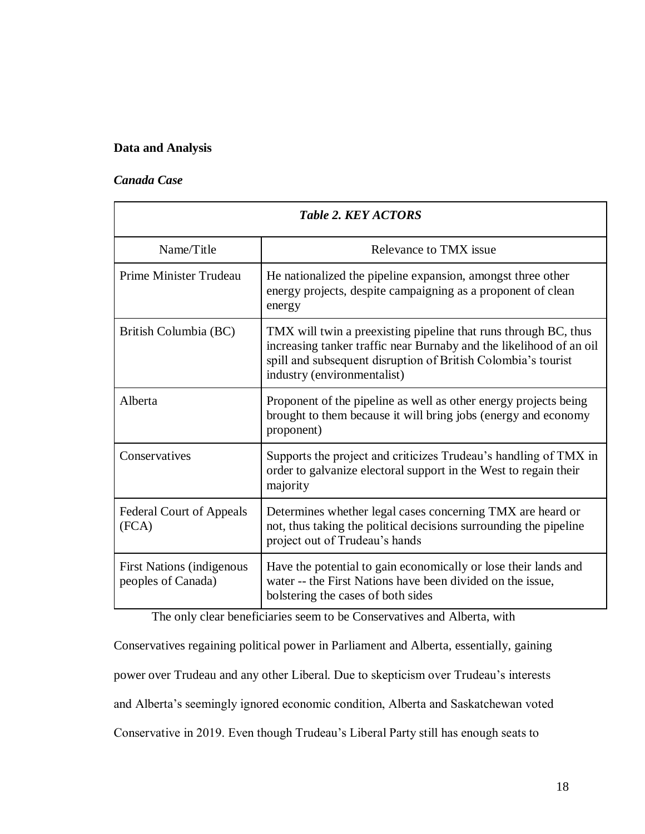### **Data and Analysis**

#### *Canada Case*

| <b>Table 2. KEY ACTORS</b>                             |                                                                                                                                                                                                                                        |  |  |
|--------------------------------------------------------|----------------------------------------------------------------------------------------------------------------------------------------------------------------------------------------------------------------------------------------|--|--|
| Name/Title                                             | Relevance to TMX issue                                                                                                                                                                                                                 |  |  |
| Prime Minister Trudeau                                 | He nationalized the pipeline expansion, amongst three other<br>energy projects, despite campaigning as a proponent of clean<br>energy                                                                                                  |  |  |
| British Columbia (BC)                                  | TMX will twin a preexisting pipeline that runs through BC, thus<br>increasing tanker traffic near Burnaby and the likelihood of an oil<br>spill and subsequent disruption of British Colombia's tourist<br>industry (environmentalist) |  |  |
| Alberta                                                | Proponent of the pipeline as well as other energy projects being<br>brought to them because it will bring jobs (energy and economy<br>proponent)                                                                                       |  |  |
| Conservatives                                          | Supports the project and criticizes Trudeau's handling of TMX in<br>order to galvanize electoral support in the West to regain their<br>majority                                                                                       |  |  |
| <b>Federal Court of Appeals</b><br>(FCA)               | Determines whether legal cases concerning TMX are heard or<br>not, thus taking the political decisions surrounding the pipeline<br>project out of Trudeau's hands                                                                      |  |  |
| <b>First Nations (indigenous</b><br>peoples of Canada) | Have the potential to gain economically or lose their lands and<br>water -- the First Nations have been divided on the issue,<br>bolstering the cases of both sides                                                                    |  |  |

The only clear beneficiaries seem to be Conservatives and Alberta, with

Conservatives regaining political power in Parliament and Alberta, essentially, gaining

power over Trudeau and any other Liberal. Due to skepticism over Trudeau's interests

and Alberta's seemingly ignored economic condition, Alberta and Saskatchewan voted

Conservative in 2019. Even though Trudeau's Liberal Party still has enough seats to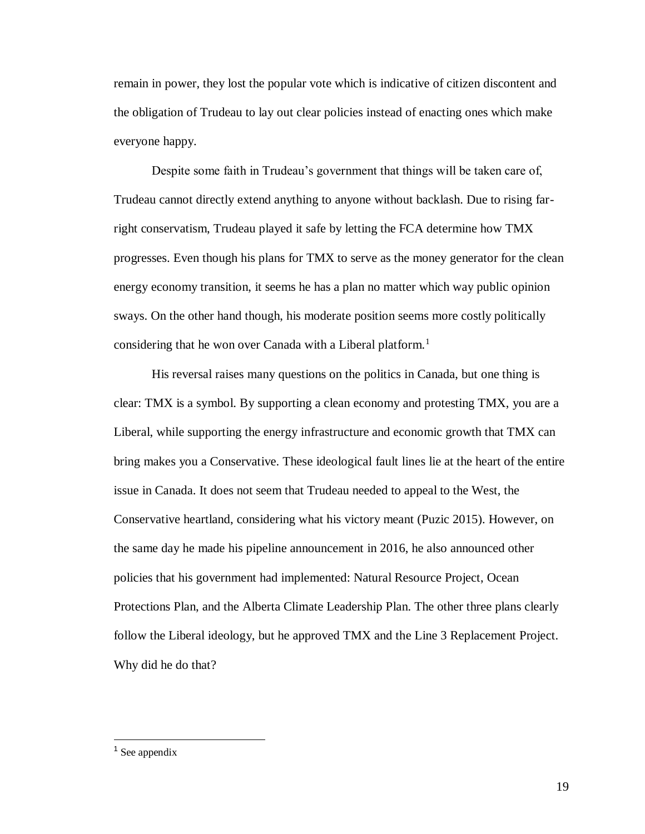remain in power, they lost the popular vote which is indicative of citizen discontent and the obligation of Trudeau to lay out clear policies instead of enacting ones which make everyone happy.

Despite some faith in Trudeau's government that things will be taken care of, Trudeau cannot directly extend anything to anyone without backlash. Due to rising farright conservatism, Trudeau played it safe by letting the FCA determine how TMX progresses. Even though his plans for TMX to serve as the money generator for the clean energy economy transition, it seems he has a plan no matter which way public opinion sways. On the other hand though, his moderate position seems more costly politically considering that he won over Canada with a Liberal platform.<sup>1</sup>

His reversal raises many questions on the politics in Canada, but one thing is clear: TMX is a symbol. By supporting a clean economy and protesting TMX, you are a Liberal, while supporting the energy infrastructure and economic growth that TMX can bring makes you a Conservative. These ideological fault lines lie at the heart of the entire issue in Canada. It does not seem that Trudeau needed to appeal to the West, the Conservative heartland, considering what his victory meant (Puzic 2015). However, on the same day he made his pipeline announcement in 2016, he also announced other policies that his government had implemented: Natural Resource Project, Ocean Protections Plan, and the Alberta Climate Leadership Plan. The other three plans clearly follow the Liberal ideology, but he approved TMX and the Line 3 Replacement Project. Why did he do that?

<sup>&</sup>lt;sup>1</sup> See appendix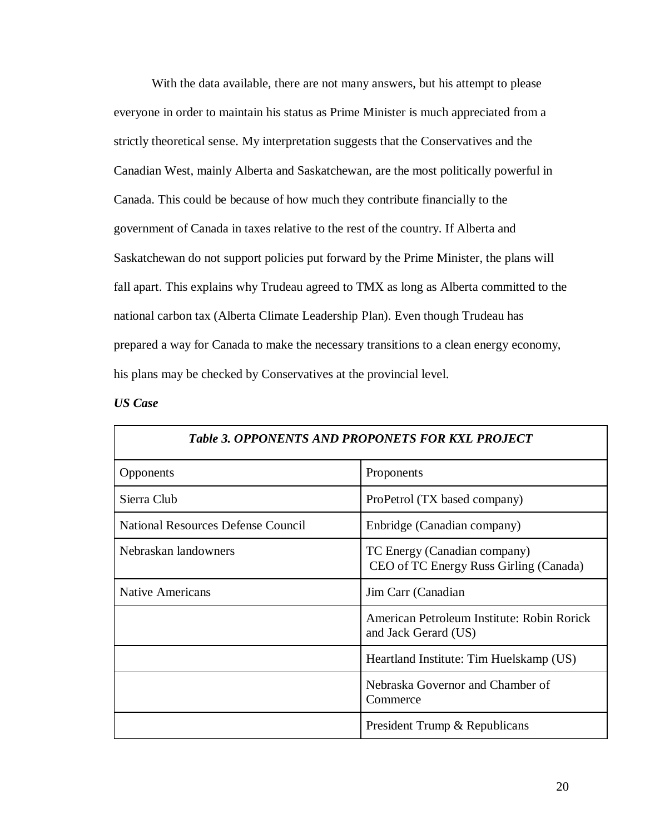With the data available, there are not many answers, but his attempt to please everyone in order to maintain his status as Prime Minister is much appreciated from a strictly theoretical sense. My interpretation suggests that the Conservatives and the Canadian West, mainly Alberta and Saskatchewan, are the most politically powerful in Canada. This could be because of how much they contribute financially to the government of Canada in taxes relative to the rest of the country. If Alberta and Saskatchewan do not support policies put forward by the Prime Minister, the plans will fall apart. This explains why Trudeau agreed to TMX as long as Alberta committed to the national carbon tax (Alberta Climate Leadership Plan). Even though Trudeau has prepared a way for Canada to make the necessary transitions to a clean energy economy, his plans may be checked by Conservatives at the provincial level.

#### *US Case*

| <b>Table 3. OPPONENTS AND PROPONETS FOR KXL PROJECT</b> |                                                                        |  |
|---------------------------------------------------------|------------------------------------------------------------------------|--|
| Opponents                                               | Proponents                                                             |  |
| Sierra Club                                             | ProPetrol (TX based company)                                           |  |
| <b>National Resources Defense Council</b>               | Enbridge (Canadian company)                                            |  |
| Nebraskan landowners                                    | TC Energy (Canadian company)<br>CEO of TC Energy Russ Girling (Canada) |  |
| <b>Native Americans</b>                                 | Jim Carr (Canadian                                                     |  |
|                                                         | American Petroleum Institute: Robin Rorick<br>and Jack Gerard (US)     |  |
|                                                         | Heartland Institute: Tim Huelskamp (US)                                |  |
|                                                         | Nebraska Governor and Chamber of<br>Commerce                           |  |
|                                                         | President Trump & Republicans                                          |  |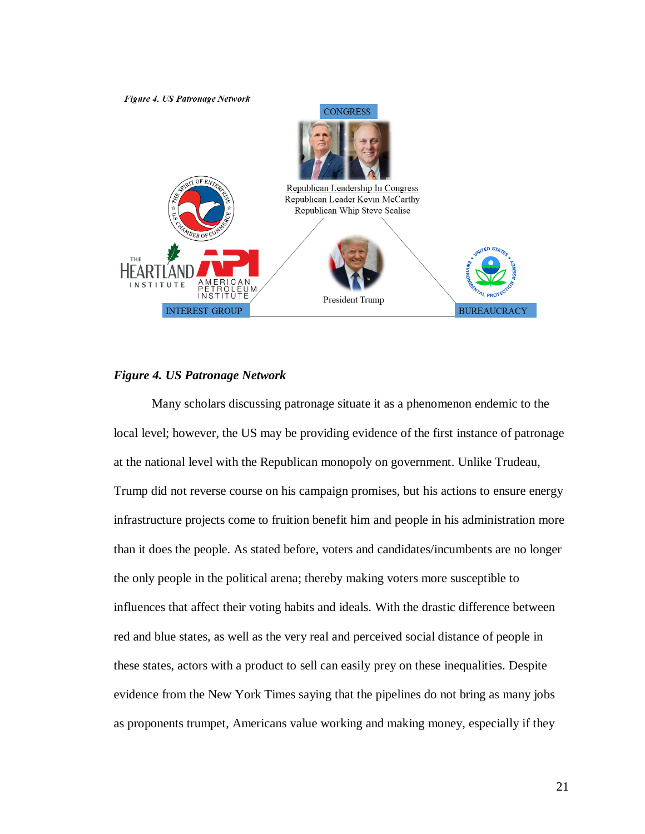

#### *Figure 4. US Patronage Network*

Many scholars discussing patronage situate it as a phenomenon endemic to the local level; however, the US may be providing evidence of the first instance of patronage at the national level with the Republican monopoly on government. Unlike Trudeau, Trump did not reverse course on his campaign promises, but his actions to ensure energy infrastructure projects come to fruition benefit him and people in his administration more than it does the people. As stated before, voters and candidates/incumbents are no longer the only people in the political arena; thereby making voters more susceptible to influences that affect their voting habits and ideals. With the drastic difference between red and blue states, as well as the very real and perceived social distance of people in these states, actors with a product to sell can easily prey on these inequalities. Despite evidence from the New York Times saying that the pipelines do not bring as many jobs as proponents trumpet, Americans value working and making money, especially if they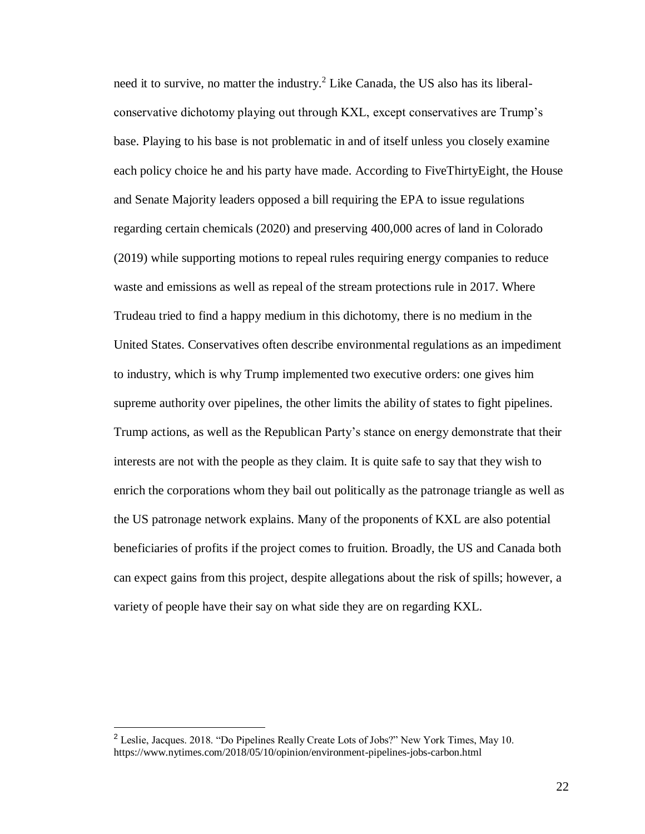need it to survive, no matter the industry.<sup>2</sup> Like Canada, the US also has its liberalconservative dichotomy playing out through KXL, except conservatives are Trump's base. Playing to his base is not problematic in and of itself unless you closely examine each policy choice he and his party have made. According to FiveThirtyEight, the House and Senate Majority leaders opposed a bill requiring the EPA to issue regulations regarding certain chemicals (2020) and preserving 400,000 acres of land in Colorado (2019) while supporting motions to repeal rules requiring energy companies to reduce waste and emissions as well as repeal of the stream protections rule in 2017. Where Trudeau tried to find a happy medium in this dichotomy, there is no medium in the United States. Conservatives often describe environmental regulations as an impediment to industry, which is why Trump implemented two executive orders: one gives him supreme authority over pipelines, the other limits the ability of states to fight pipelines. Trump actions, as well as the Republican Party's stance on energy demonstrate that their interests are not with the people as they claim. It is quite safe to say that they wish to enrich the corporations whom they bail out politically as the patronage triangle as well as the US patronage network explains. Many of the proponents of KXL are also potential beneficiaries of profits if the project comes to fruition. Broadly, the US and Canada both can expect gains from this project, despite allegations about the risk of spills; however, a variety of people have their say on what side they are on regarding KXL.

 $\overline{a}$ 

<sup>2</sup> Leslie, Jacques. 2018. "Do Pipelines Really Create Lots of Jobs?" New York Times, May 10. https://www.nytimes.com/2018/05/10/opinion/environment-pipelines-jobs-carbon.html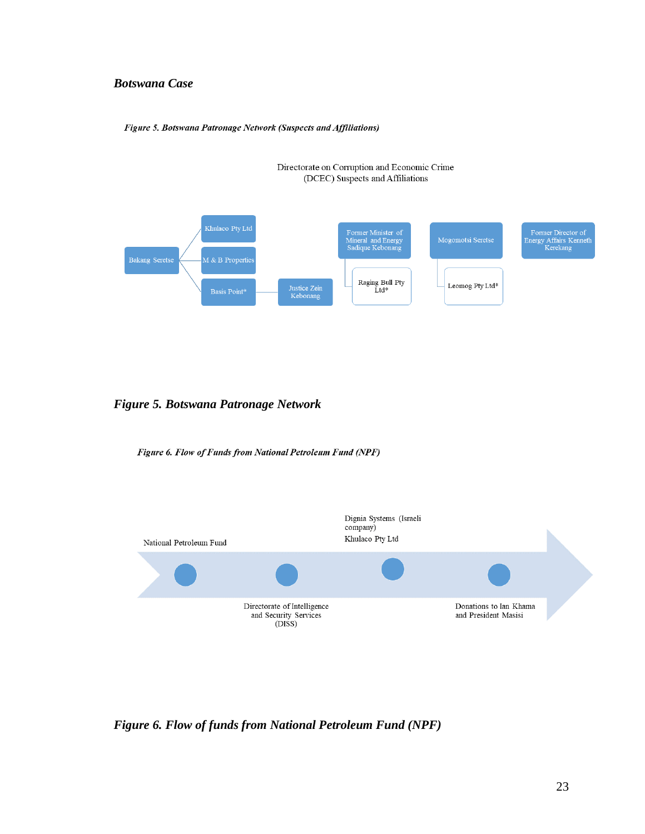#### *Botswana Case*





*Figure 5. Botswana Patronage Network*

Figure 6. Flow of Funds from National Petroleum Fund (NPF)



*Figure 6. Flow of funds from National Petroleum Fund (NPF)*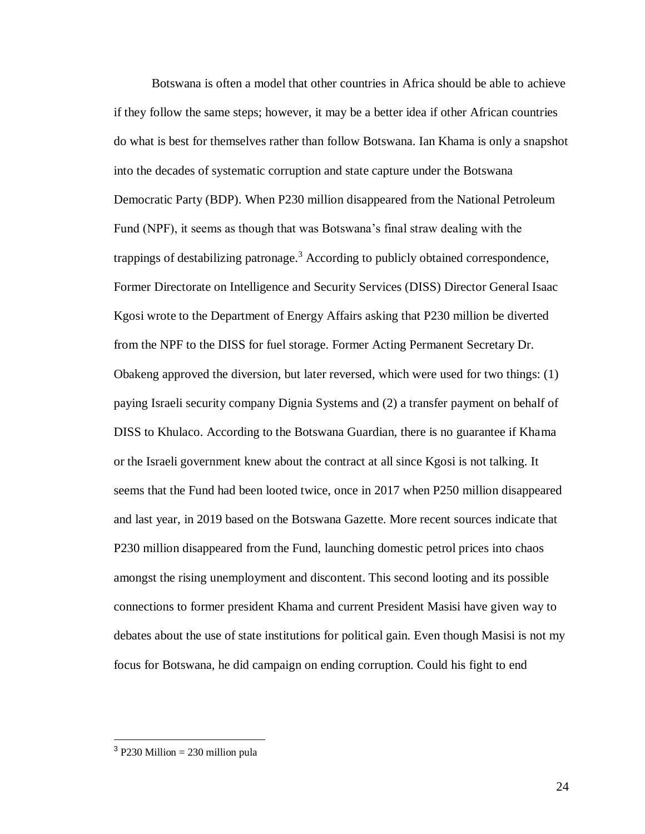Botswana is often a model that other countries in Africa should be able to achieve if they follow the same steps; however, it may be a better idea if other African countries do what is best for themselves rather than follow Botswana. Ian Khama is only a snapshot into the decades of systematic corruption and state capture under the Botswana Democratic Party (BDP). When P230 million disappeared from the National Petroleum Fund (NPF), it seems as though that was Botswana's final straw dealing with the trappings of destabilizing patronage.<sup>3</sup> According to publicly obtained correspondence, Former Directorate on Intelligence and Security Services (DISS) Director General Isaac Kgosi wrote to the Department of Energy Affairs asking that P230 million be diverted from the NPF to the DISS for fuel storage. Former Acting Permanent Secretary Dr. Obakeng approved the diversion, but later reversed, which were used for two things: (1) paying Israeli security company Dignia Systems and (2) a transfer payment on behalf of DISS to Khulaco. According to the Botswana Guardian, there is no guarantee if Khama or the Israeli government knew about the contract at all since Kgosi is not talking. It seems that the Fund had been looted twice, once in 2017 when P250 million disappeared and last year, in 2019 based on the Botswana Gazette. More recent sources indicate that P230 million disappeared from the Fund, launching domestic petrol prices into chaos amongst the rising unemployment and discontent. This second looting and its possible connections to former president Khama and current President Masisi have given way to debates about the use of state institutions for political gain. Even though Masisi is not my focus for Botswana, he did campaign on ending corruption. Could his fight to end

 $3$  P230 Million = 230 million pula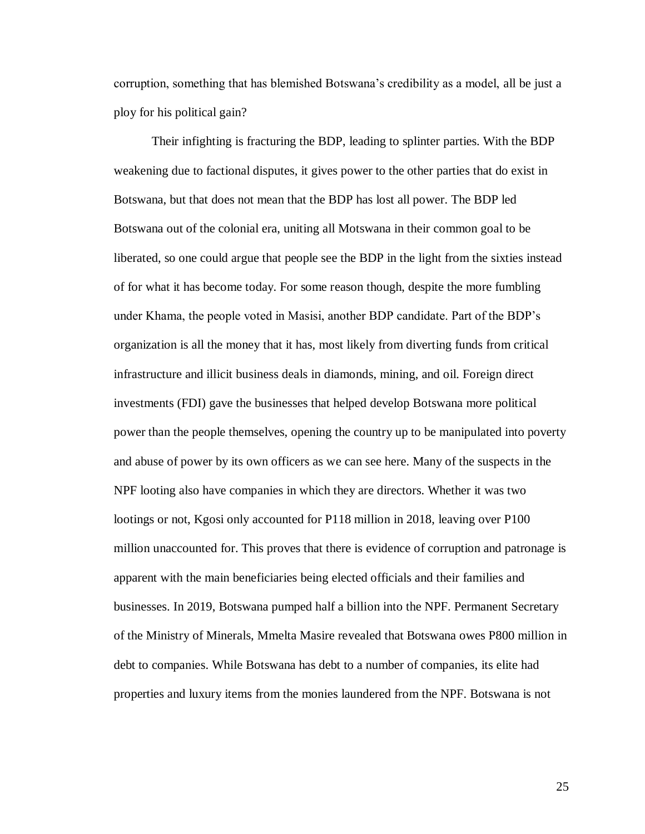corruption, something that has blemished Botswana's credibility as a model, all be just a ploy for his political gain?

Their infighting is fracturing the BDP, leading to splinter parties. With the BDP weakening due to factional disputes, it gives power to the other parties that do exist in Botswana, but that does not mean that the BDP has lost all power. The BDP led Botswana out of the colonial era, uniting all Motswana in their common goal to be liberated, so one could argue that people see the BDP in the light from the sixties instead of for what it has become today. For some reason though, despite the more fumbling under Khama, the people voted in Masisi, another BDP candidate. Part of the BDP's organization is all the money that it has, most likely from diverting funds from critical infrastructure and illicit business deals in diamonds, mining, and oil. Foreign direct investments (FDI) gave the businesses that helped develop Botswana more political power than the people themselves, opening the country up to be manipulated into poverty and abuse of power by its own officers as we can see here. Many of the suspects in the NPF looting also have companies in which they are directors. Whether it was two lootings or not, Kgosi only accounted for P118 million in 2018, leaving over P100 million unaccounted for. This proves that there is evidence of corruption and patronage is apparent with the main beneficiaries being elected officials and their families and businesses. In 2019, Botswana pumped half a billion into the NPF. Permanent Secretary of the Ministry of Minerals, Mmelta Masire revealed that Botswana owes P800 million in debt to companies. While Botswana has debt to a number of companies, its elite had properties and luxury items from the monies laundered from the NPF. Botswana is not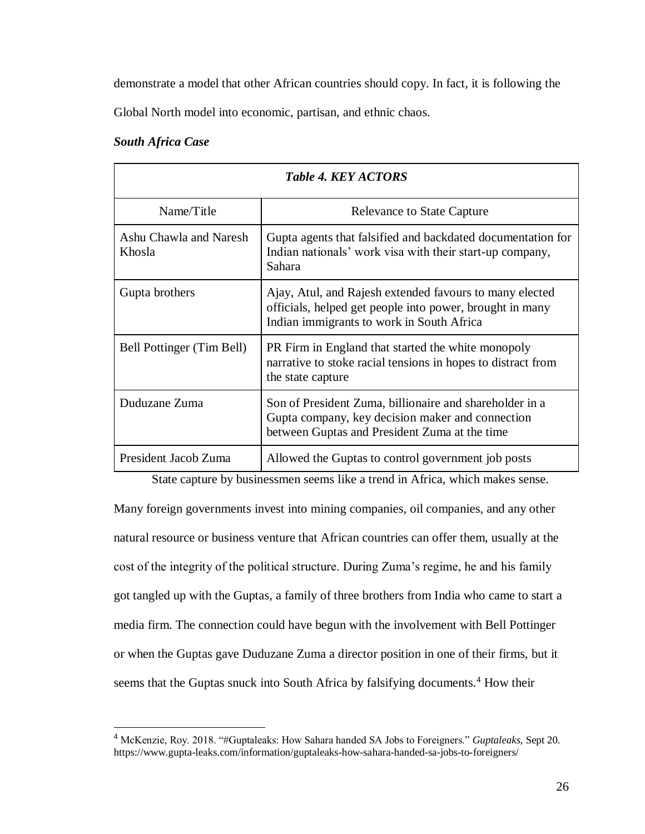demonstrate a model that other African countries should copy. In fact, it is following the

Global North model into economic, partisan, and ethnic chaos.

#### *South Africa Case*

 $\overline{a}$ 

| <b>Table 4. KEY ACTORS</b>       |                                                                                                                                                                  |  |  |
|----------------------------------|------------------------------------------------------------------------------------------------------------------------------------------------------------------|--|--|
| Name/Title                       | <b>Relevance to State Capture</b>                                                                                                                                |  |  |
| Ashu Chawla and Naresh<br>Khosla | Gupta agents that falsified and backdated documentation for<br>Indian nationals' work visa with their start-up company,<br>Sahara                                |  |  |
| Gupta brothers                   | Ajay, Atul, and Rajesh extended favours to many elected<br>officials, helped get people into power, brought in many<br>Indian immigrants to work in South Africa |  |  |
| Bell Pottinger (Tim Bell)        | PR Firm in England that started the white monopoly<br>narrative to stoke racial tensions in hopes to distract from<br>the state capture                          |  |  |
| Duduzane Zuma                    | Son of President Zuma, billionaire and shareholder in a<br>Gupta company, key decision maker and connection<br>between Guptas and President Zuma at the time     |  |  |
| President Jacob Zuma             | Allowed the Guptas to control government job posts                                                                                                               |  |  |

State capture by businessmen seems like a trend in Africa, which makes sense.

Many foreign governments invest into mining companies, oil companies, and any other natural resource or business venture that African countries can offer them, usually at the cost of the integrity of the political structure. During Zuma's regime, he and his family got tangled up with the Guptas, a family of three brothers from India who came to start a media firm. The connection could have begun with the involvement with Bell Pottinger or when the Guptas gave Duduzane Zuma a director position in one of their firms, but it seems that the Guptas snuck into South Africa by falsifying documents.<sup>4</sup> How their

<sup>4</sup> McKenzie, Roy. 2018. "#Guptaleaks: How Sahara handed SA Jobs to Foreigners." *Guptaleaks,* Sept 20. https://www.gupta-leaks.com/information/guptaleaks-how-sahara-handed-sa-jobs-to-foreigners/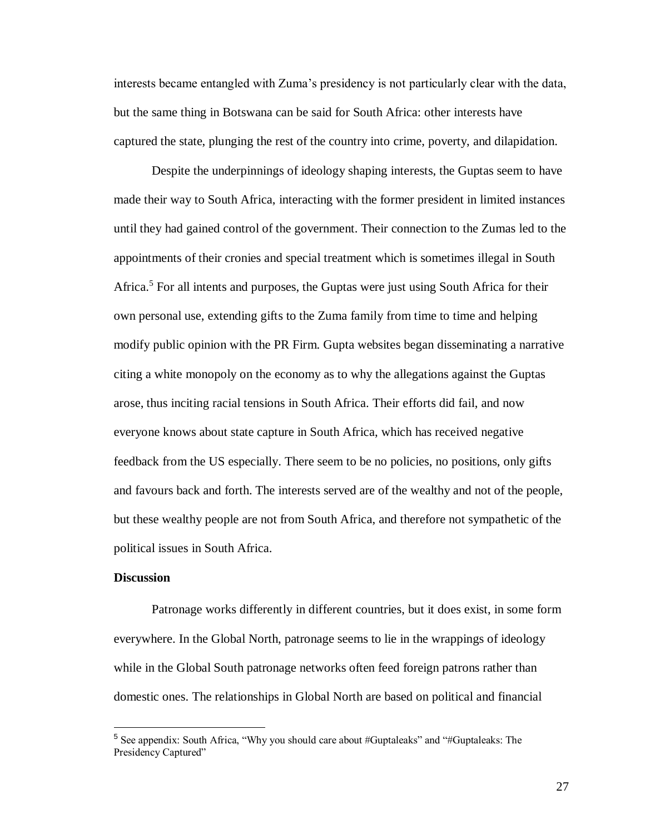interests became entangled with Zuma's presidency is not particularly clear with the data, but the same thing in Botswana can be said for South Africa: other interests have captured the state, plunging the rest of the country into crime, poverty, and dilapidation.

Despite the underpinnings of ideology shaping interests, the Guptas seem to have made their way to South Africa, interacting with the former president in limited instances until they had gained control of the government. Their connection to the Zumas led to the appointments of their cronies and special treatment which is sometimes illegal in South Africa.<sup>5</sup> For all intents and purposes, the Guptas were just using South Africa for their own personal use, extending gifts to the Zuma family from time to time and helping modify public opinion with the PR Firm. Gupta websites began disseminating a narrative citing a white monopoly on the economy as to why the allegations against the Guptas arose, thus inciting racial tensions in South Africa. Their efforts did fail, and now everyone knows about state capture in South Africa, which has received negative feedback from the US especially. There seem to be no policies, no positions, only gifts and favours back and forth. The interests served are of the wealthy and not of the people, but these wealthy people are not from South Africa, and therefore not sympathetic of the political issues in South Africa.

#### **Discussion**

 $\overline{a}$ 

Patronage works differently in different countries, but it does exist, in some form everywhere. In the Global North, patronage seems to lie in the wrappings of ideology while in the Global South patronage networks often feed foreign patrons rather than domestic ones. The relationships in Global North are based on political and financial

<sup>5</sup> See appendix: South Africa, "Why you should care about #Guptaleaks" and "#Guptaleaks: The Presidency Captured"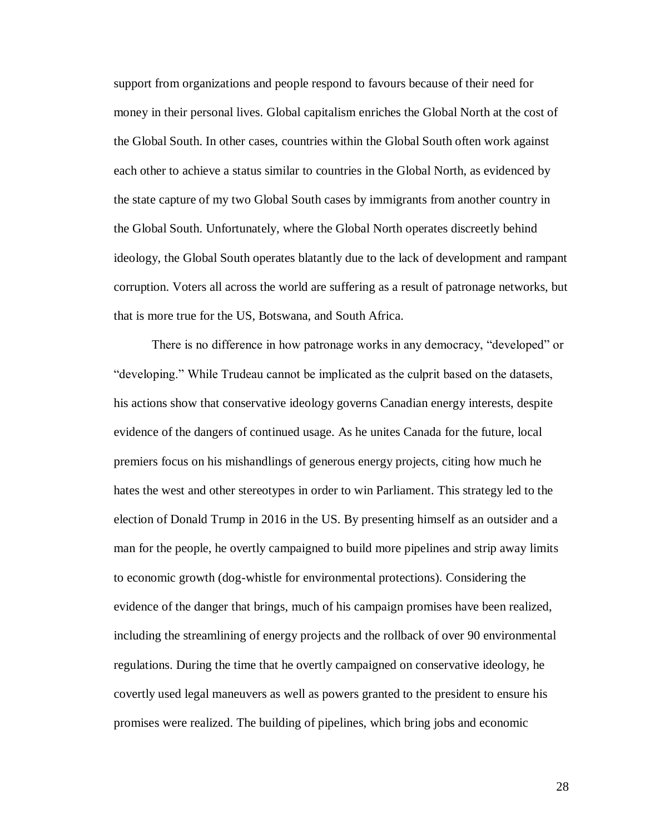support from organizations and people respond to favours because of their need for money in their personal lives. Global capitalism enriches the Global North at the cost of the Global South. In other cases, countries within the Global South often work against each other to achieve a status similar to countries in the Global North, as evidenced by the state capture of my two Global South cases by immigrants from another country in the Global South. Unfortunately, where the Global North operates discreetly behind ideology, the Global South operates blatantly due to the lack of development and rampant corruption. Voters all across the world are suffering as a result of patronage networks, but that is more true for the US, Botswana, and South Africa.

There is no difference in how patronage works in any democracy, "developed" or "developing." While Trudeau cannot be implicated as the culprit based on the datasets, his actions show that conservative ideology governs Canadian energy interests, despite evidence of the dangers of continued usage. As he unites Canada for the future, local premiers focus on his mishandlings of generous energy projects, citing how much he hates the west and other stereotypes in order to win Parliament. This strategy led to the election of Donald Trump in 2016 in the US. By presenting himself as an outsider and a man for the people, he overtly campaigned to build more pipelines and strip away limits to economic growth (dog-whistle for environmental protections). Considering the evidence of the danger that brings, much of his campaign promises have been realized, including the streamlining of energy projects and the rollback of over 90 environmental regulations. During the time that he overtly campaigned on conservative ideology, he covertly used legal maneuvers as well as powers granted to the president to ensure his promises were realized. The building of pipelines, which bring jobs and economic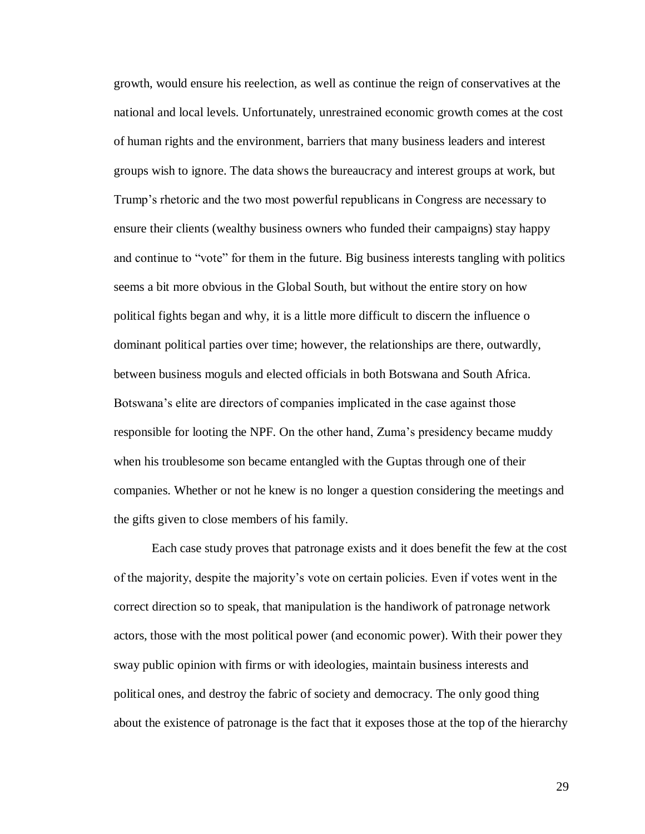growth, would ensure his reelection, as well as continue the reign of conservatives at the national and local levels. Unfortunately, unrestrained economic growth comes at the cost of human rights and the environment, barriers that many business leaders and interest groups wish to ignore. The data shows the bureaucracy and interest groups at work, but Trump's rhetoric and the two most powerful republicans in Congress are necessary to ensure their clients (wealthy business owners who funded their campaigns) stay happy and continue to "vote" for them in the future. Big business interests tangling with politics seems a bit more obvious in the Global South, but without the entire story on how political fights began and why, it is a little more difficult to discern the influence o dominant political parties over time; however, the relationships are there, outwardly, between business moguls and elected officials in both Botswana and South Africa. Botswana's elite are directors of companies implicated in the case against those responsible for looting the NPF. On the other hand, Zuma's presidency became muddy when his troublesome son became entangled with the Guptas through one of their companies. Whether or not he knew is no longer a question considering the meetings and the gifts given to close members of his family.

Each case study proves that patronage exists and it does benefit the few at the cost of the majority, despite the majority's vote on certain policies. Even if votes went in the correct direction so to speak, that manipulation is the handiwork of patronage network actors, those with the most political power (and economic power). With their power they sway public opinion with firms or with ideologies, maintain business interests and political ones, and destroy the fabric of society and democracy. The only good thing about the existence of patronage is the fact that it exposes those at the top of the hierarchy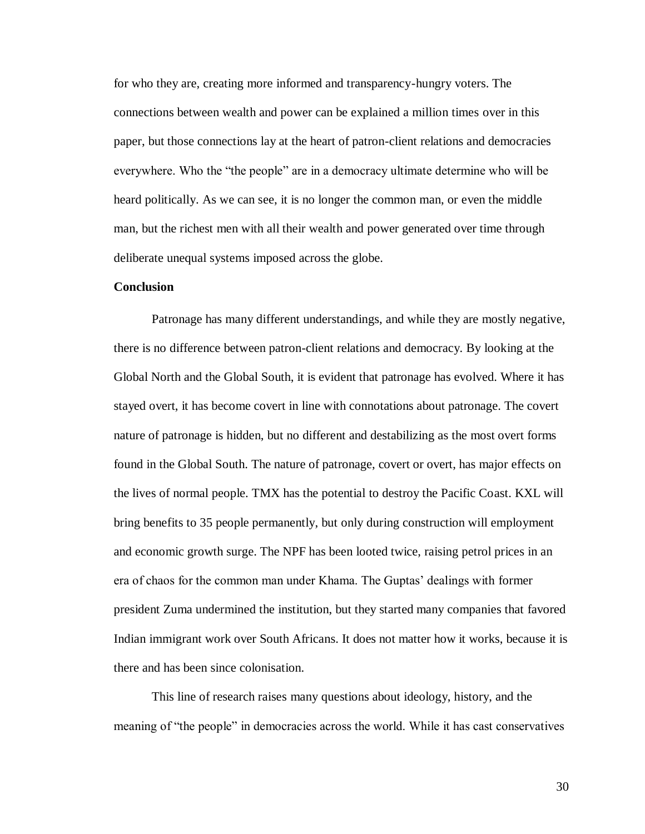for who they are, creating more informed and transparency-hungry voters. The connections between wealth and power can be explained a million times over in this paper, but those connections lay at the heart of patron-client relations and democracies everywhere. Who the "the people" are in a democracy ultimate determine who will be heard politically. As we can see, it is no longer the common man, or even the middle man, but the richest men with all their wealth and power generated over time through deliberate unequal systems imposed across the globe.

#### **Conclusion**

Patronage has many different understandings, and while they are mostly negative, there is no difference between patron-client relations and democracy. By looking at the Global North and the Global South, it is evident that patronage has evolved. Where it has stayed overt, it has become covert in line with connotations about patronage. The covert nature of patronage is hidden, but no different and destabilizing as the most overt forms found in the Global South. The nature of patronage, covert or overt, has major effects on the lives of normal people. TMX has the potential to destroy the Pacific Coast. KXL will bring benefits to 35 people permanently, but only during construction will employment and economic growth surge. The NPF has been looted twice, raising petrol prices in an era of chaos for the common man under Khama. The Guptas' dealings with former president Zuma undermined the institution, but they started many companies that favored Indian immigrant work over South Africans. It does not matter how it works, because it is there and has been since colonisation.

This line of research raises many questions about ideology, history, and the meaning of "the people" in democracies across the world. While it has cast conservatives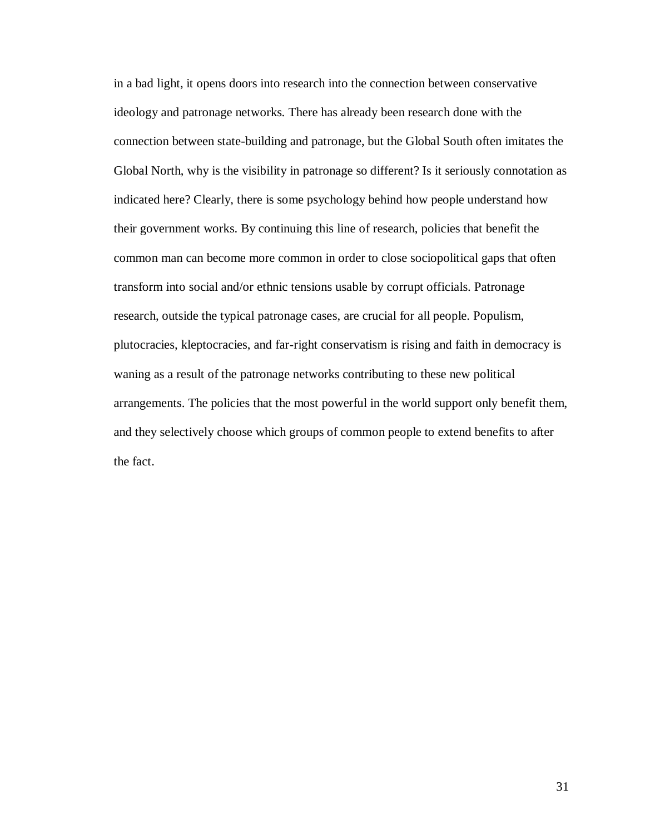in a bad light, it opens doors into research into the connection between conservative ideology and patronage networks. There has already been research done with the connection between state-building and patronage, but the Global South often imitates the Global North, why is the visibility in patronage so different? Is it seriously connotation as indicated here? Clearly, there is some psychology behind how people understand how their government works. By continuing this line of research, policies that benefit the common man can become more common in order to close sociopolitical gaps that often transform into social and/or ethnic tensions usable by corrupt officials. Patronage research, outside the typical patronage cases, are crucial for all people. Populism, plutocracies, kleptocracies, and far-right conservatism is rising and faith in democracy is waning as a result of the patronage networks contributing to these new political arrangements. The policies that the most powerful in the world support only benefit them, and they selectively choose which groups of common people to extend benefits to after the fact.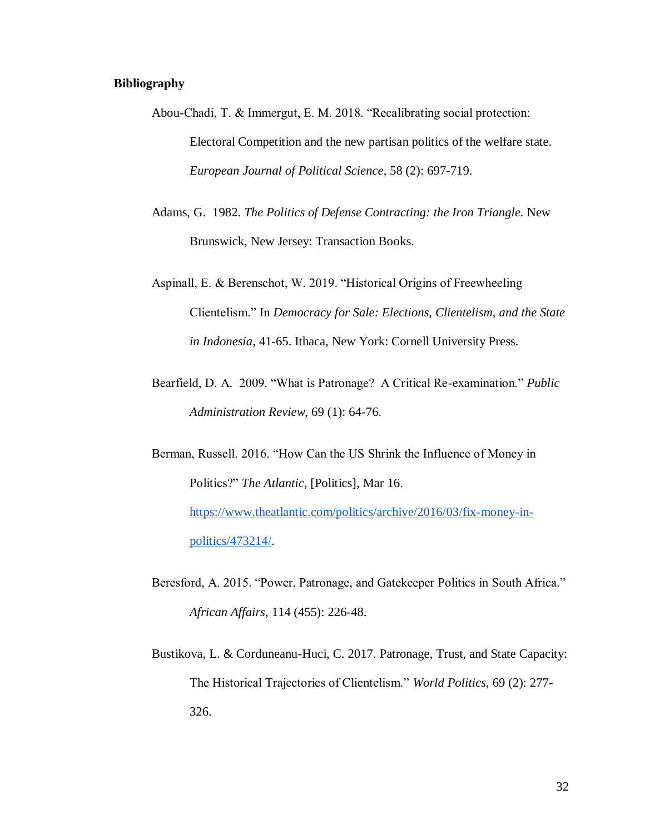#### **Bibliography**

- Abou-Chadi, T. & Immergut, E. M. 2018. "Recalibrating social protection: Electoral Competition and the new partisan politics of the welfare state. *European Journal of Political Science*, 58 (2): 697-719.
- Adams, G. 1982. *The Politics of Defense Contracting: the Iron Triangle.* New Brunswick, New Jersey: Transaction Books.
- Aspinall, E. & Berenschot, W. 2019. "Historical Origins of Freewheeling Clientelism." In *Democracy for Sale: Elections, Clientelism, and the State in Indonesia*, 41-65. Ithaca, New York: Cornell University Press.
- Bearfield, D. A. 2009. "What is Patronage? A Critical Re-examination." *Public Administration Review*, 69 (1): 64-76.
- Berman, Russell. 2016. "How Can the US Shrink the Influence of Money in Politics?" *The Atlantic*, [Politics], Mar 16. [https://www.theatlantic.com/politics/archive/2016/03/fix-money-in](https://www.theatlantic.com/politics/archive/2016/03/fix-money-in-politics/473214/)[politics/473214/.](https://www.theatlantic.com/politics/archive/2016/03/fix-money-in-politics/473214/)
- Beresford, A. 2015. "Power, Patronage, and Gatekeeper Politics in South Africa." *African Affairs*, 114 (455): 226-48.
- Bustikova, L. & Corduneanu-Huci, C. 2017. Patronage, Trust, and State Capacity: The Historical Trajectories of Clientelism." *World Politics*, 69 (2): 277- 326.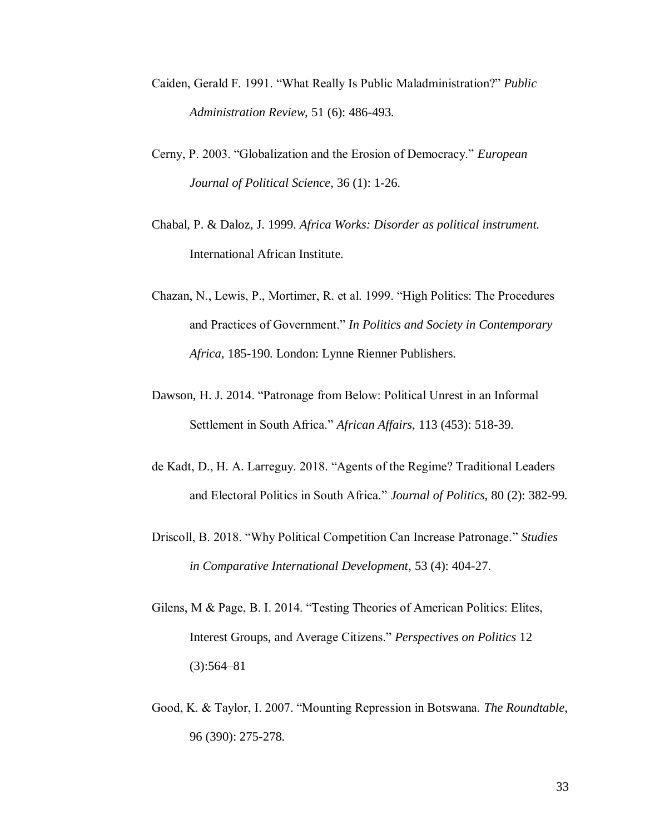- Caiden, Gerald F. 1991. "What Really Is Public Maladministration?" *Public Administration Review,* 51 (6): 486-493.
- Cerny, P. 2003. "Globalization and the Erosion of Democracy." *European Journal of Political Science*, 36 (1): 1-26.
- Chabal, P. & Daloz, J. 1999. *Africa Works: Disorder as political instrument.* International African Institute.
- Chazan, N., Lewis, P., Mortimer, R. et al. 1999. "High Politics: The Procedures and Practices of Government." *In Politics and Society in Contemporary Africa*, 185-190. London: Lynne Rienner Publishers.
- Dawson, H. J. 2014. "Patronage from Below: Political Unrest in an Informal Settlement in South Africa." *African Affairs*, 113 (453): 518-39.
- de Kadt, D., H. A. Larreguy. 2018. "Agents of the Regime? Traditional Leaders and Electoral Politics in South Africa." *Journal of Politics*, 80 (2): 382-99.
- Driscoll, B. 2018. "Why Political Competition Can Increase Patronage*.*" *Studies in Comparative International Development*, 53 (4): 404-27.
- Gilens, M & Page, B. I. 2014. "Testing Theories of American Politics: Elites, Interest Groups, and Average Citizens." *Perspectives on Politics* 12  $(3):564-81$
- Good, K. & Taylor, I. 2007. "Mounting Repression in Botswana. *The Roundtable*, 96 (390): 275-278.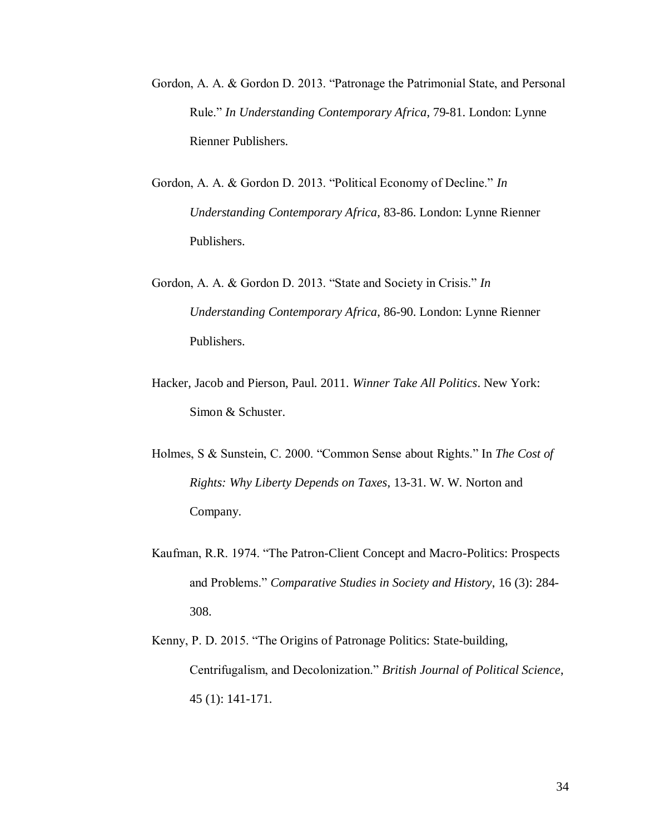- Gordon, A. A. & Gordon D. 2013. "Patronage the Patrimonial State, and Personal Rule." *In Understanding Contemporary Africa*, 79-81. London: Lynne Rienner Publishers.
- Gordon, A. A. & Gordon D. 2013. "Political Economy of Decline." *In Understanding Contemporary Africa*, 83-86. London: Lynne Rienner Publishers.
- Gordon, A. A. & Gordon D. 2013. "State and Society in Crisis." *In Understanding Contemporary Africa*, 86-90. London: Lynne Rienner Publishers.
- Hacker, Jacob and Pierson, Paul. 2011. *Winner Take All Politics*. New York: Simon & Schuster.
- Holmes, S & Sunstein, C. 2000. "Common Sense about Rights." In *The Cost of Rights: Why Liberty Depends on Taxes*, 13-31. W. W. Norton and Company.
- Kaufman, R.R. 1974. "The Patron-Client Concept and Macro-Politics: Prospects and Problems." *Comparative Studies in Society and History*, 16 (3): 284- 308.
- Kenny, P. D. 2015. "The Origins of Patronage Politics: State-building, Centrifugalism, and Decolonization." *British Journal of Political Science*, 45 (1): 141-171.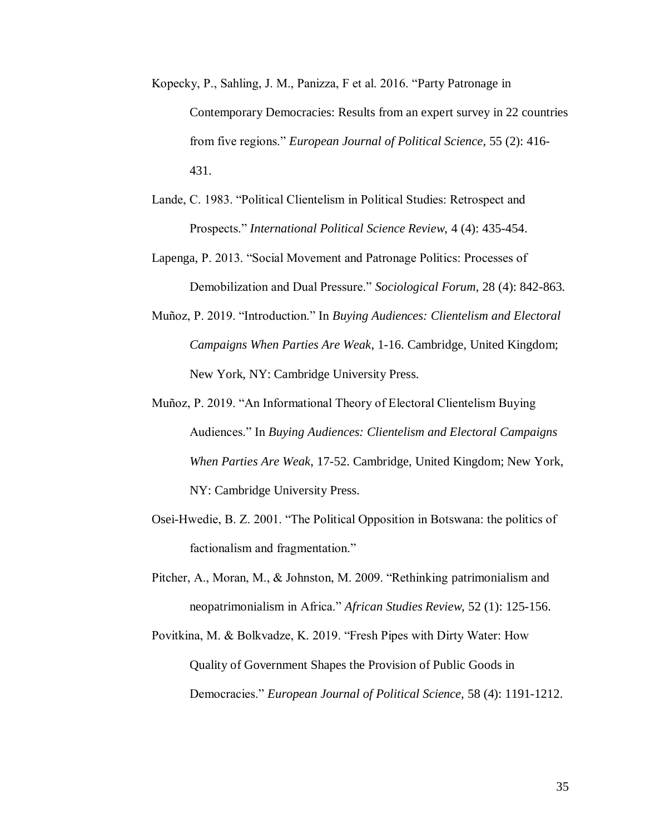- Kopecky, P., Sahling, J. M., Panizza, F et al. 2016. "Party Patronage in Contemporary Democracies: Results from an expert survey in 22 countries from five regions." *European Journal of Political Science*, 55 (2): 416- 431.
- Lande, C. 1983. "Political Clientelism in Political Studies: Retrospect and Prospects." *International Political Science Review*, 4 (4): 435-454.
- Lapenga, P. 2013. "Social Movement and Patronage Politics: Processes of Demobilization and Dual Pressure." *Sociological Forum*, 28 (4): 842-863.
- Muñoz, P. 2019. "Introduction." In *Buying Audiences: Clientelism and Electoral Campaigns When Parties Are Weak*, 1-16. Cambridge, United Kingdom; New York, NY: Cambridge University Press.
- Muñoz, P. 2019. "An Informational Theory of Electoral Clientelism Buying Audiences." In *Buying Audiences: Clientelism and Electoral Campaigns When Parties Are Weak*, 17-52. Cambridge, United Kingdom; New York, NY: Cambridge University Press.
- Osei-Hwedie, B. Z. 2001. "The Political Opposition in Botswana: the politics of factionalism and fragmentation."
- Pitcher, A., Moran, M., & Johnston, M. 2009. "Rethinking patrimonialism and neopatrimonialism in Africa." *African Studies Review,* 52 (1): 125-156.
- Povitkina, M. & Bolkvadze, K. 2019. "Fresh Pipes with Dirty Water: How Quality of Government Shapes the Provision of Public Goods in Democracies." *European Journal of Political Science,* 58 (4): 1191-1212.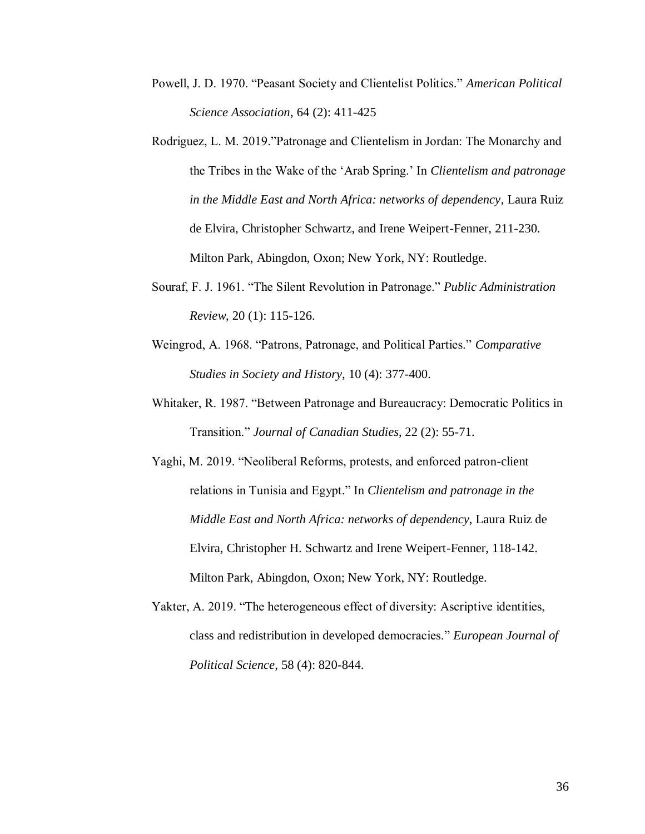- Powell, J. D. 1970. "Peasant Society and Clientelist Politics." *American Political Science Association*, 64 (2): 411-425
- Rodriguez, L. M. 2019."Patronage and Clientelism in Jordan: The Monarchy and the Tribes in the Wake of the 'Arab Spring.' In *Clientelism and patronage in the Middle East and North Africa: networks of dependency*, Laura Ruiz de Elvira, Christopher Schwartz, and Irene Weipert-Fenner, 211-230. Milton Park, Abingdon, Oxon; New York, NY: Routledge.
- Souraf, F. J. 1961. "The Silent Revolution in Patronage." *Public Administration Review*, 20 (1): 115-126.
- Weingrod, A. 1968. "Patrons, Patronage, and Political Parties." *Comparative Studies in Society and History*, 10 (4): 377-400.
- Whitaker, R. 1987. "Between Patronage and Bureaucracy: Democratic Politics in Transition." *Journal of Canadian Studies*, 22 (2): 55-71.
- Yaghi, M. 2019. "Neoliberal Reforms, protests, and enforced patron-client relations in Tunisia and Egypt." In *Clientelism and patronage in the Middle East and North Africa: networks of dependency*, Laura Ruiz de Elvira, Christopher H. Schwartz and Irene Weipert-Fenner, 118-142. Milton Park, Abingdon, Oxon; New York, NY: Routledge.
- Yakter, A. 2019. "The heterogeneous effect of diversity: Ascriptive identities, class and redistribution in developed democracies." *European Journal of Political Science*, 58 (4): 820-844.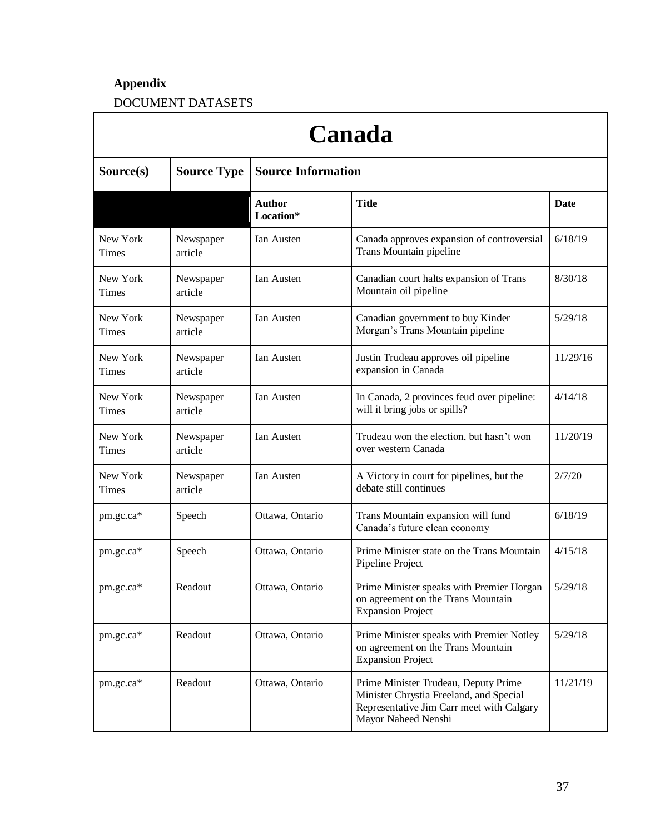## **Appendix**

### DOCUMENT DATASETS

| <b>Canada</b>            |                      |                            |                                                                                                                                                     |          |  |  |
|--------------------------|----------------------|----------------------------|-----------------------------------------------------------------------------------------------------------------------------------------------------|----------|--|--|
| Source(s)                | <b>Source Type</b>   |                            | <b>Source Information</b>                                                                                                                           |          |  |  |
|                          |                      | <b>Author</b><br>Location* | <b>Title</b>                                                                                                                                        | Date     |  |  |
| New York<br><b>Times</b> | Newspaper<br>article | <b>Ian Austen</b>          | Canada approves expansion of controversial<br>Trans Mountain pipeline                                                                               | 6/18/19  |  |  |
| New York<br>Times        | Newspaper<br>article | Ian Austen                 | Canadian court halts expansion of Trans<br>Mountain oil pipeline                                                                                    | 8/30/18  |  |  |
| New York<br><b>Times</b> | Newspaper<br>article | Ian Austen                 | Canadian government to buy Kinder<br>Morgan's Trans Mountain pipeline                                                                               | 5/29/18  |  |  |
| New York<br>Times        | Newspaper<br>article | Ian Austen                 | Justin Trudeau approves oil pipeline<br>expansion in Canada                                                                                         | 11/29/16 |  |  |
| New York<br><b>Times</b> | Newspaper<br>article | Ian Austen                 | In Canada, 2 provinces feud over pipeline:<br>will it bring jobs or spills?                                                                         | 4/14/18  |  |  |
| New York<br>Times        | Newspaper<br>article | Ian Austen                 | Trudeau won the election, but hasn't won<br>over western Canada                                                                                     | 11/20/19 |  |  |
| New York<br><b>Times</b> | Newspaper<br>article | Ian Austen                 | A Victory in court for pipelines, but the<br>debate still continues                                                                                 | 2/7/20   |  |  |
| pm.gc.ca*                | Speech               | Ottawa, Ontario            | Trans Mountain expansion will fund<br>Canada's future clean economy                                                                                 | 6/18/19  |  |  |
| pm.gc.ca*                | Speech               | Ottawa, Ontario            | Prime Minister state on the Trans Mountain<br>Pipeline Project                                                                                      | 4/15/18  |  |  |
| $pm.gc.ca\ast$           | Readout              | Ottawa, Ontario            | Prime Minister speaks with Premier Horgan<br>on agreement on the Trans Mountain<br><b>Expansion Project</b>                                         | 5/29/18  |  |  |
| pm.gc.ca*                | Readout              | Ottawa, Ontario            | Prime Minister speaks with Premier Notley<br>on agreement on the Trans Mountain<br><b>Expansion Project</b>                                         | 5/29/18  |  |  |
| pm.gc.ca*                | Readout              | Ottawa, Ontario            | Prime Minister Trudeau, Deputy Prime<br>Minister Chrystia Freeland, and Special<br>Representative Jim Carr meet with Calgary<br>Mayor Naheed Nenshi | 11/21/19 |  |  |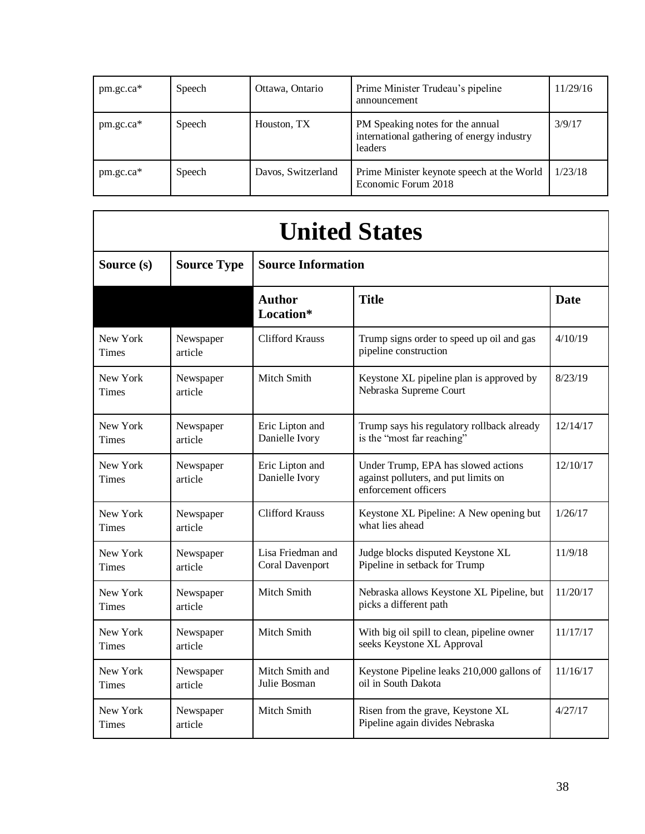| pm.gc.ca* | Speech | Ottawa, Ontario    | Prime Minister Trudeau's pipeline<br>announcement                                         | 11/29/16 |
|-----------|--------|--------------------|-------------------------------------------------------------------------------------------|----------|
| pm.gc.ca* | Speech | Houston, TX        | PM Speaking notes for the annual<br>international gathering of energy industry<br>leaders | 3/9/17   |
| pm.gc.ca* | Speech | Davos, Switzerland | Prime Minister keynote speech at the World<br>Economic Forum 2018                         | 1/23/18  |

| <b>United States</b>     |                      |                                             |                                                                                                     |             |  |  |
|--------------------------|----------------------|---------------------------------------------|-----------------------------------------------------------------------------------------------------|-------------|--|--|
| Source (s)               | <b>Source Type</b>   |                                             | <b>Source Information</b>                                                                           |             |  |  |
|                          |                      | <b>Author</b><br>Location*                  | <b>Title</b>                                                                                        | <b>Date</b> |  |  |
| New York<br><b>Times</b> | Newspaper<br>article | Clifford Krauss                             | Trump signs order to speed up oil and gas<br>pipeline construction                                  | 4/10/19     |  |  |
| New York<br><b>Times</b> | Newspaper<br>article | Mitch Smith                                 | Keystone XL pipeline plan is approved by<br>Nebraska Supreme Court                                  | 8/23/19     |  |  |
| New York<br><b>Times</b> | Newspaper<br>article | Eric Lipton and<br>Danielle Ivory           | Trump says his regulatory rollback already<br>is the "most far reaching"                            | 12/14/17    |  |  |
| New York<br><b>Times</b> | Newspaper<br>article | Eric Lipton and<br>Danielle Ivory           | Under Trump, EPA has slowed actions<br>against polluters, and put limits on<br>enforcement officers | 12/10/17    |  |  |
| New York<br><b>Times</b> | Newspaper<br>article | <b>Clifford Krauss</b>                      | Keystone XL Pipeline: A New opening but<br>what lies ahead                                          | 1/26/17     |  |  |
| New York<br><b>Times</b> | Newspaper<br>article | Lisa Friedman and<br><b>Coral Davenport</b> | Judge blocks disputed Keystone XL<br>Pipeline in setback for Trump                                  | 11/9/18     |  |  |
| New York<br><b>Times</b> | Newspaper<br>article | Mitch Smith                                 | Nebraska allows Keystone XL Pipeline, but<br>picks a different path                                 | 11/20/17    |  |  |
| New York<br>Times        | Newspaper<br>article | Mitch Smith                                 | With big oil spill to clean, pipeline owner<br>seeks Keystone XL Approval                           | 11/17/17    |  |  |
| New York<br><b>Times</b> | Newspaper<br>article | Mitch Smith and<br>Julie Bosman             | Keystone Pipeline leaks 210,000 gallons of<br>oil in South Dakota                                   | 11/16/17    |  |  |
| New York<br><b>Times</b> | Newspaper<br>article | Mitch Smith                                 | Risen from the grave, Keystone XL<br>Pipeline again divides Nebraska                                | 4/27/17     |  |  |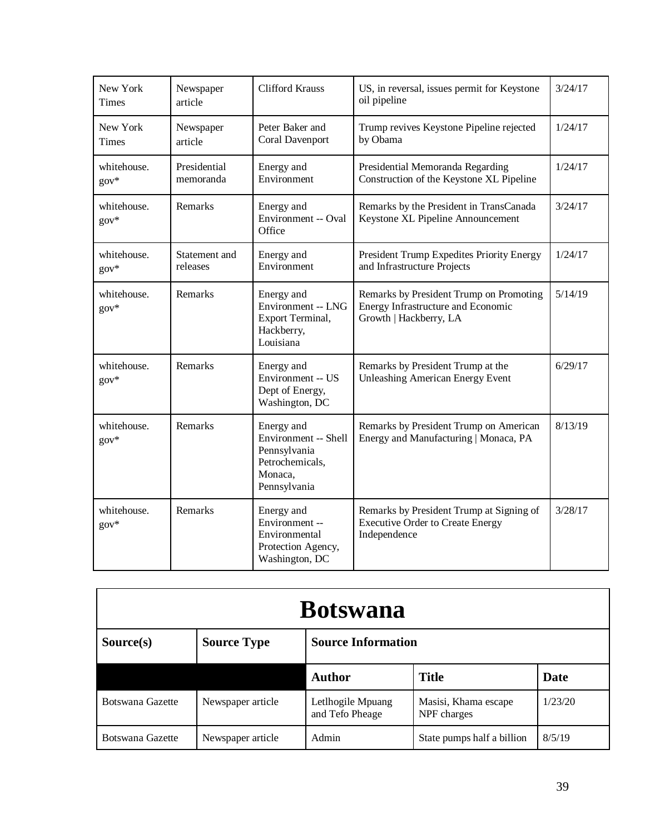| New York<br>Times        | Newspaper<br>article      | <b>Clifford Krauss</b>                                                                           | US, in reversal, issues permit for Keystone<br>oil pipeline                                             | 3/24/17 |
|--------------------------|---------------------------|--------------------------------------------------------------------------------------------------|---------------------------------------------------------------------------------------------------------|---------|
| New York<br><b>Times</b> | Newspaper<br>article      | Peter Baker and<br><b>Coral Davenport</b>                                                        | Trump revives Keystone Pipeline rejected<br>by Obama                                                    | 1/24/17 |
| whitehouse.<br>$gov^*$   | Presidential<br>memoranda | Energy and<br>Environment                                                                        | Presidential Memoranda Regarding<br>Construction of the Keystone XL Pipeline                            | 1/24/17 |
| whitehouse.<br>$gov^*$   | Remarks                   | Energy and<br>Environment -- Oval<br>Office                                                      | Remarks by the President in TransCanada<br>Keystone XL Pipeline Announcement                            | 3/24/17 |
| whitehouse.<br>$gov^*$   | Statement and<br>releases | Energy and<br>Environment                                                                        | President Trump Expedites Priority Energy<br>and Infrastructure Projects                                | 1/24/17 |
| whitehouse.<br>$gov^*$   | Remarks                   | Energy and<br>Environment -- LNG<br>Export Terminal,<br>Hackberry,<br>Louisiana                  | Remarks by President Trump on Promoting<br>Energy Infrastructure and Economic<br>Growth   Hackberry, LA | 5/14/19 |
| whitehouse.<br>$gov^*$   | Remarks                   | Energy and<br>Environment -- US<br>Dept of Energy,<br>Washington, DC                             | Remarks by President Trump at the<br><b>Unleashing American Energy Event</b>                            | 6/29/17 |
| whitehouse.<br>$gov^*$   | Remarks                   | Energy and<br>Environment -- Shell<br>Pennsylvania<br>Petrochemicals,<br>Monaca,<br>Pennsylvania | Remarks by President Trump on American<br>Energy and Manufacturing   Monaca, PA                         | 8/13/19 |
| whitehouse.<br>$gov^*$   | Remarks                   | Energy and<br>Environment --<br>Environmental<br>Protection Agency,<br>Washington, DC            | Remarks by President Trump at Signing of<br><b>Executive Order to Create Energy</b><br>Independence     | 3/28/17 |

| <b>Botswana</b>  |                    |                                      |                                     |         |  |
|------------------|--------------------|--------------------------------------|-------------------------------------|---------|--|
| Source(s)        | <b>Source Type</b> | <b>Source Information</b>            |                                     |         |  |
|                  |                    | <b>Author</b>                        | <b>Title</b>                        | Date    |  |
| Botswana Gazette | Newspaper article  | Letlhogile Mpuang<br>and Tefo Pheage | Masisi, Khama escape<br>NPF charges | 1/23/20 |  |
| Botswana Gazette | Newspaper article  | Admin                                | State pumps half a billion          | 8/5/19  |  |